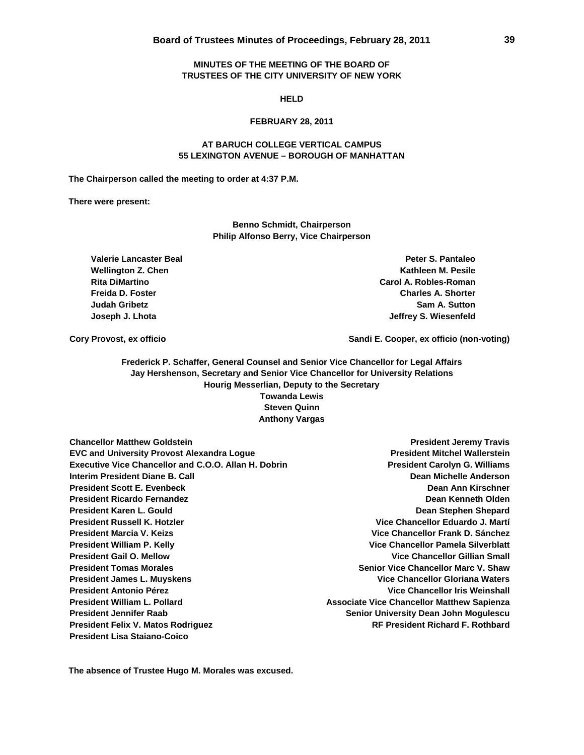### **MINUTES OF THE MEETING OF THE BOARD OF TRUSTEES OF THE CITY UNIVERSITY OF NEW YORK**

#### **HELD**

### **FEBRUARY 28, 2011**

### **AT BARUCH COLLEGE VERTICAL CAMPUS 55 LEXINGTON AVENUE – BOROUGH OF MANHATTAN**

**The Chairperson called the meeting to order at 4:37 P.M.** 

**There were present:** 

**Benno Schmidt, Chairperson Philip Alfonso Berry, Vice Chairperson** 

**Valerie Lancaster Beal Peter S. Pantaleo** 

**Wellington Z. Chen** Kathleen M. Pesile **Kathleen M. Pesile Rita DiMartino Carol A. Robles-Roman Freida D. Foster Charles A. Shorter Judah Gribetz** Sam A. Sutton **Sam A. Sutton 3. Sam A. Sutton 3. Sam A. Sutton 3. Sam A. Sutton 3. Sam A. Sutton 3. Sam A. Sutton 3. Sam A. Sutton 3. Sam A. Sutton 3. Sam A. Sutton 3. Sam A. Sutton 3. Sam A. Sutton 3. Sam Joseph J. Lhota Jeffrey S. Wiesenfeld** 

**Cory Provost, ex officio Sandi E. Cooper, ex officio (non-voting)** 

**Frederick P. Schaffer, General Counsel and Senior Vice Chancellor for Legal Affairs Jay Hershenson, Secretary and Senior Vice Chancellor for University Relations Hourig Messerlian, Deputy to the Secretary Towanda Lewis Steven Quinn Anthony Vargas** 

 **Chancellor Matthew Goldstein President Jeremy Travis EVC and University Provost Alexandra Logue President Mitchel Wallerstein Executive Vice Chancellor and C.O.O. Allan H. Dobrin Casset Access 20 President Carolyn G. Williams Interim President Diane B. Call Dean Michelle Anderson President Scott E. Evenbeck Dean Ann Kirschner President Ricardo Fernandez Dean Kenneth Olden President Karen L. Gould Community Community Community Community Community Community Community Community Community Community Community Community Community Community Community Community Community Community Community Commun President Russell K. Hotzler Vice Chancellor Eduardo J. Martí President Marcia V. Keizs Vice Chancellor Frank D. Sánchez President William P. Kelly Chancellor Pamela Silverblatt**  Vice Chancellor Pamela Silverblatt **President Gail O. Mellow Vice Chancellor Gillian Small President Tomas Morales Senior Vice Chancellor Marc V. Shaw President James L. Muyskens Community Community Community Community Community Community Community Community Community Community Community Community Community Community Community Community Community Community Community Com President Antonio Pérez Vice Chancellor Iris Weinshall President William L. Pollard Community Community Associate Vice Chancellor Matthew Sapienza President Jennifer Raab Senior University Dean John Mogulescu President Felix V. Matos Rodriguez RF President Richard F. Rothbard President Lisa Staiano-Coico** 

**The absence of Trustee Hugo M. Morales was excused.**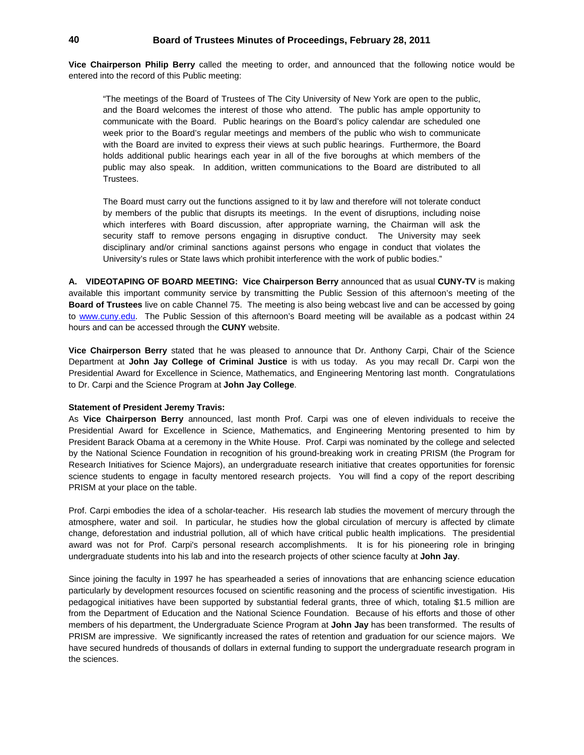**Vice Chairperson Philip Berry** called the meeting to order, and announced that the following notice would be entered into the record of this Public meeting:

"The meetings of the Board of Trustees of The City University of New York are open to the public, and the Board welcomes the interest of those who attend. The public has ample opportunity to communicate with the Board. Public hearings on the Board's policy calendar are scheduled one week prior to the Board's regular meetings and members of the public who wish to communicate with the Board are invited to express their views at such public hearings. Furthermore, the Board holds additional public hearings each year in all of the five boroughs at which members of the public may also speak. In addition, written communications to the Board are distributed to all Trustees.

 The Board must carry out the functions assigned to it by law and therefore will not tolerate conduct security staff to remove persons engaging in disruptive conduct. The University may seek by members of the public that disrupts its meetings. In the event of disruptions, including noise which interferes with Board discussion, after appropriate warning, the Chairman will ask the disciplinary and/or criminal sanctions against persons who engage in conduct that violates the University's rules or State laws which prohibit interference with the work of public bodies."

 **Board of Trustees** live on cable Channel 75. The meeting is also being webcast live and can be accessed by going **A. VIDEOTAPING OF BOARD MEETING: Vice Chairperson Berry** announced that as usual **CUNY-TV** is making available this important community service by transmitting the Public Session of this afternoon's meeting of the to www.cuny.edu. The Public Session of this afternoon's Board meeting will be available as a podcast within 24 hours and can be accessed through the **CUNY** website.

**Vice Chairperson Berry** stated that he was pleased to announce that Dr. Anthony Carpi, Chair of the Science Department at **John Jay College of Criminal Justice** is with us today. As you may recall Dr. Carpi won the Presidential Award for Excellence in Science, Mathematics, and Engineering Mentoring last month. Congratulations to Dr. Carpi and the Science Program at **John Jay College**.

#### **Statement of President Jeremy Travis:**

As **Vice Chairperson Berry** announced, last month Prof. Carpi was one of eleven individuals to receive the Presidential Award for Excellence in Science, Mathematics, and Engineering Mentoring presented to him by President Barack Obama at a ceremony in the White House. Prof. Carpi was nominated by the college and selected by the National Science Foundation in recognition of his ground-breaking work in creating PRISM (the Program for Research Initiatives for Science Majors), an undergraduate research initiative that creates opportunities for forensic science students to engage in faculty mentored research projects. You will find a copy of the report describing PRISM at your place on the table.

 atmosphere, water and soil. In particular, he studies how the global circulation of mercury is affected by climate Prof. Carpi embodies the idea of a scholar-teacher. His research lab studies the movement of mercury through the change, deforestation and industrial pollution, all of which have critical public health implications. The presidential award was not for Prof. Carpi's personal research accomplishments. It is for his pioneering role in bringing undergraduate students into his lab and into the research projects of other science faculty at **John Jay**.

Since joining the faculty in 1997 he has spearheaded a series of innovations that are enhancing science education particularly by development resources focused on scientific reasoning and the process of scientific investigation. His pedagogical initiatives have been supported by substantial federal grants, three of which, totaling \$1.5 million are from the Department of Education and the National Science Foundation. Because of his efforts and those of other members of his department, the Undergraduate Science Program at **John Jay** has been transformed. The results of PRISM are impressive. We significantly increased the rates of retention and graduation for our science majors. We have secured hundreds of thousands of dollars in external funding to support the undergraduate research program in the sciences.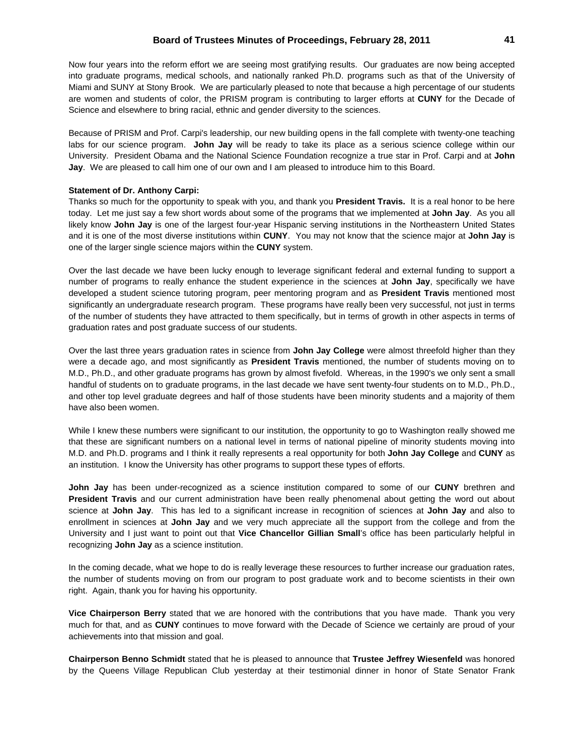Now four years into the reform effort we are seeing most gratifying results. Our graduates are now being accepted into graduate programs, medical schools, and nationally ranked Ph.D. programs such as that of the University of Miami and SUNY at Stony Brook. We are particularly pleased to note that because a high percentage of our students are women and students of color, the PRISM program is contributing to larger efforts at **CUNY** for the Decade of Science and elsewhere to bring racial, ethnic and gender diversity to the sciences.

 labs for our science program. **John Jay** will be ready to take its place as a serious science college within our Because of PRISM and Prof. Carpi's leadership, our new building opens in the fall complete with twenty-one teaching University. President Obama and the National Science Foundation recognize a true star in Prof. Carpi and at **John Jay**. We are pleased to call him one of our own and I am pleased to introduce him to this Board.

#### **Statement of Dr. Anthony Carpi:**

 today. Let me just say a few short words about some of the programs that we implemented at **John Jay**. As you all Thanks so much for the opportunity to speak with you, and thank you **President Travis.** It is a real honor to be here likely know **John Jay** is one of the largest four-year Hispanic serving institutions in the Northeastern United States and it is one of the most diverse institutions within **CUNY**. You may not know that the science major at **John Jay** is one of the larger single science majors within the **CUNY** system.

 number of programs to really enhance the student experience in the sciences at **John Jay**, specifically we have Over the last decade we have been lucky enough to leverage significant federal and external funding to support a developed a student science tutoring program, peer mentoring program and as **President Travis** mentioned most significantly an undergraduate research program. These programs have really been very successful, not just in terms of the number of students they have attracted to them specifically, but in terms of growth in other aspects in terms of graduation rates and post graduate success of our students.

 and other top level graduate degrees and half of those students have been minority students and a majority of them Over the last three years graduation rates in science from **John Jay College** were almost threefold higher than they were a decade ago, and most significantly as **President Travis** mentioned, the number of students moving on to M.D., Ph.D., and other graduate programs has grown by almost fivefold. Whereas, in the 1990's we only sent a small handful of students on to graduate programs, in the last decade we have sent twenty-four students on to M.D., Ph.D., have also been women.

 that these are significant numbers on a national level in terms of national pipeline of minority students moving into While I knew these numbers were significant to our institution, the opportunity to go to Washington really showed me M.D. and Ph.D. programs and I think it really represents a real opportunity for both **John Jay College** and **CUNY** as an institution. I know the University has other programs to support these types of efforts.

**John Jay** has been under-recognized as a science institution compared to some of our **CUNY** brethren and **President Travis** and our current administration have been really phenomenal about getting the word out about science at **John Jay**. This has led to a significant increase in recognition of sciences at **John Jay** and also to enrollment in sciences at **John Jay** and we very much appreciate all the support from the college and from the University and I just want to point out that **Vice Chancellor Gillian Small**'s office has been particularly helpful in recognizing **John Jay** as a science institution.

In the coming decade, what we hope to do is really leverage these resources to further increase our graduation rates, the number of students moving on from our program to post graduate work and to become scientists in their own right. Again, thank you for having his opportunity.

**Vice Chairperson Berry** stated that we are honored with the contributions that you have made. Thank you very much for that, and as **CUNY** continues to move forward with the Decade of Science we certainly are proud of your achievements into that mission and goal.

**Chairperson Benno Schmidt** stated that he is pleased to announce that **Trustee Jeffrey Wiesenfeld** was honored by the Queens Village Republican Club yesterday at their testimonial dinner in honor of State Senator Frank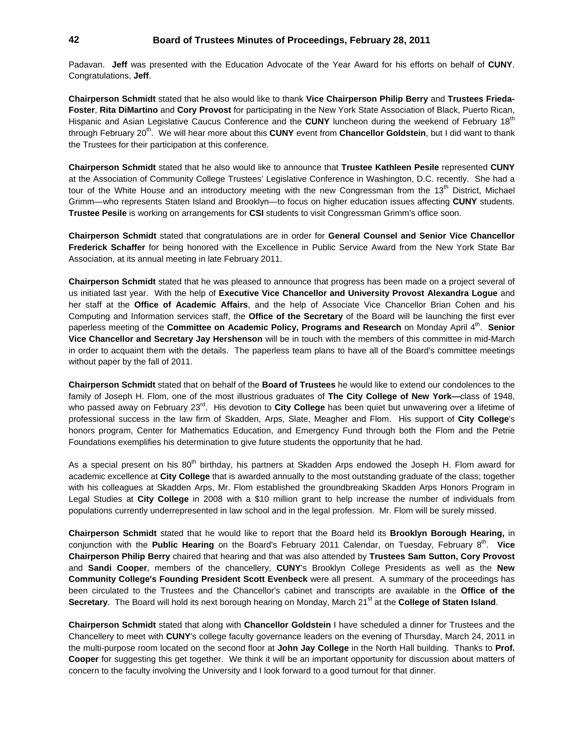Padavan. **Jeff** was presented with the Education Advocate of the Year Award for his efforts on behalf of **CUNY**. Congratulations, **Jeff**.

**Chairperson Schmidt** stated that he also would like to thank **Vice Chairperson Philip Berry** and **Trustees Frieda-Foster**, **Rita DiMartino** and **Cory Provost** for participating in the New York State Association of Black, Puerto Rican, Hispanic and Asian Legislative Caucus Conference and the **CUNY** luncheon during the weekend of February 18<sup>th</sup> through February 20th. We will hear more about this **CUNY** event from **Chancellor Goldstein**, but I did want to thank the Trustees for their participation at this conference.

 Grimm—who represents Staten Island and Brooklyn—to focus on higher education issues affecting **CUNY** students. **Chairperson Schmidt** stated that he also would like to announce that **Trustee Kathleen Pesile** represented **CUNY**  at the Association of Community College Trustees' Legislative Conference in Washington, D.C. recently. She had a tour of the White House and an introductory meeting with the new Congressman from the  $13<sup>th</sup>$  District, Michael **Trustee Pesile** is working on arrangements for **CSI** students to visit Congressman Grimm's office soon.

**Chairperson Schmidt** stated that congratulations are in order for **General Counsel and Senior Vice Chancellor Frederick Schaffer** for being honored with the Excellence in Public Service Award from the New York State Bar Association, at its annual meeting in late February 2011.

 **Vice Chancellor and Secretary Jay Hershenson** will be in touch with the members of this committee in mid-March **Chairperson Schmidt** stated that he was pleased to announce that progress has been made on a project several of us initiated last year. With the help of **Executive Vice Chancellor and University Provost Alexandra Logue** and her staff at the **Office of Academic Affairs**, and the help of Associate Vice Chancellor Brian Cohen and his Computing and Information services staff, the **Office of the Secretary** of the Board will be launching the first ever paperless meeting of the **Committee on Academic Policy, Programs and Research** on Monday April 4<sup>th</sup>. Senior in order to acquaint them with the details. The paperless team plans to have all of the Board's committee meetings without paper by the fall of 2011.

**Chairperson Schmidt** stated that on behalf of the **Board of Trustees** he would like to extend our condolences to the family of Joseph H. Flom, one of the most illustrious graduates of **The City College of New York—**class of 1948, who passed away on February 23rd. His devotion to **City College** has been quiet but unwavering over a lifetime of professional success in the law firm of Skadden, Arps, Slate, Meagher and Flom. His support of **City College**'s honors program, Center for Mathematics Education, and Emergency Fund through both the Flom and the Petrie Foundations exemplifies his determination to give future students the opportunity that he had.

As a special present on his 80<sup>th</sup> birthday, his partners at Skadden Arps endowed the Joseph H. Flom award for academic excellence at **City College** that is awarded annually to the most outstanding graduate of the class; together with his colleagues at Skadden Arps, Mr. Flom established the groundbreaking Skadden Arps Honors Program in Legal Studies at **City College** in 2008 with a \$10 million grant to help increase the number of individuals from populations currently underrepresented in law school and in the legal profession. Mr. Flom will be surely missed.

**Chairperson Schmidt** stated that he would like to report that the Board held its **Brooklyn Borough Hearing,** in conjunction with the **Public Hearing** on the Board's February 2011 Calendar, on Tuesday, February 8<sup>th</sup>. Vice **Chairperson Philip Berry** chaired that hearing and that was also attended by **Trustees Sam Sutton, Cory Provost**  and **Sandi Cooper**, members of the chancellery, **CUNY**'s Brooklyn College Presidents as well as the **New Community College's Founding President Scott Evenbeck** were all present. A summary of the proceedings has been circulated to the Trustees and the Chancellor's cabinet and transcripts are available in the **Office of the Secretary**. The Board will hold its next borough hearing on Monday, March 21<sup>st</sup> at the **College of Staten Island**.

**Chairperson Schmidt** stated that along with **Chancellor Goldstein** I have scheduled a dinner for Trustees and the Chancellery to meet with **CUNY**'s college faculty governance leaders on the evening of Thursday, March 24, 2011 in the multi-purpose room located on the second floor at **John Jay College** in the North Hall building. Thanks to **Prof. Cooper** for suggesting this get together. We think it will be an important opportunity for discussion about matters of concern to the faculty involving the University and I look forward to a good turnout for that dinner.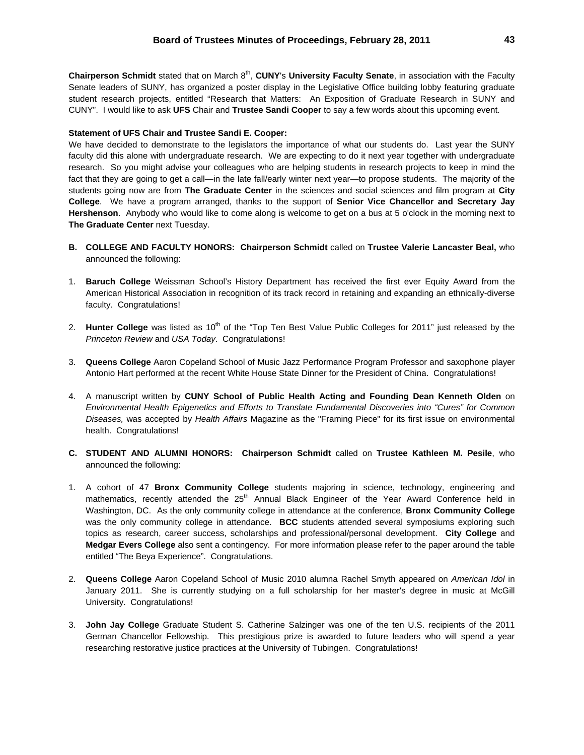CUNY". I would like to ask **UFS** Chair and **Trustee Sandi Cooper** to say a few words about this upcoming event. **Chairperson Schmidt** stated that on March 8th, **CUNY**'s **University Faculty Senate**, in association with the Faculty Senate leaders of SUNY, has organized a poster display in the Legislative Office building lobby featuring graduate student research projects, entitled "Research that Matters: An Exposition of Graduate Research in SUNY and

#### **Statement of UFS Chair and Trustee Sandi E. Cooper:**

 **The Graduate Center** next Tuesday. We have decided to demonstrate to the legislators the importance of what our students do. Last year the SUNY faculty did this alone with undergraduate research. We are expecting to do it next year together with undergraduate research. So you might advise your colleagues who are helping students in research projects to keep in mind the fact that they are going to get a call—in the late fall/early winter next year—to propose students. The majority of the students going now are from **The Graduate Center** in the sciences and social sciences and film program at **City College**. We have a program arranged, thanks to the support of **Senior Vice Chancellor and Secretary Jay Hershenson**. Anybody who would like to come along is welcome to get on a bus at 5 o'clock in the morning next to

- **B. COLLEGE AND FACULTY HONORS: Chairperson Schmidt** called on **Trustee Valerie Lancaster Beal,** who announced the following:
- 1. **Baruch College** Weissman School's History Department has received the first ever Equity Award from the American Historical Association in recognition of its track record in retaining and expanding an ethnically-diverse faculty. Congratulations!
- 2. **Hunter College** was listed as 10<sup>th</sup> of the "Top Ten Best Value Public Colleges for 2011" just released by the *Princeton Review* and *USA Today*. Congratulations!
- 3. **Queens College** Aaron Copeland School of Music Jazz Performance Program Professor and saxophone player Antonio Hart performed at the recent White House State Dinner for the President of China. Congratulations!
- 4. A manuscript written by **CUNY School of Public Health Acting and Founding Dean Kenneth Olden** on *Environmental Health Epigenetics and Efforts to Translate Fundamental Discoveries into "Cures" for Common Diseases,* was accepted by *Health Affairs* Magazine as the "Framing Piece" for its first issue on environmental health. Congratulations!
- **C. STUDENT AND ALUMNI HONORS: Chairperson Schmidt** called on **Trustee Kathleen M. Pesile**, who announced the following:
- 1. A cohort of 47 **Bronx Community College** students majoring in science, technology, engineering and mathematics, recently attended the 25<sup>th</sup> Annual Black Engineer of the Year Award Conference held in Washington, DC. As the only community college in attendance at the conference, **Bronx Community College**  was the only community college in attendance. **BCC** students attended several symposiums exploring such topics as research, career success, scholarships and professional/personal development. **City College** and **Medgar Evers College** also sent a contingency. For more information please refer to the paper around the table entitled "The Beya Experience". Congratulations.
- 2. **Queens College** Aaron Copeland School of Music 2010 alumna Rachel Smyth appeared on *American Idol* in January 2011. She is currently studying on a full scholarship for her master's degree in music at McGill University. Congratulations!
- German Chancellor Fellowship. This prestigious prize is awarded to future leaders who will spend a year 3. **John Jay College** Graduate Student S. Catherine Salzinger was one of the ten U.S. recipients of the 2011 researching restorative justice practices at the University of Tubingen. Congratulations!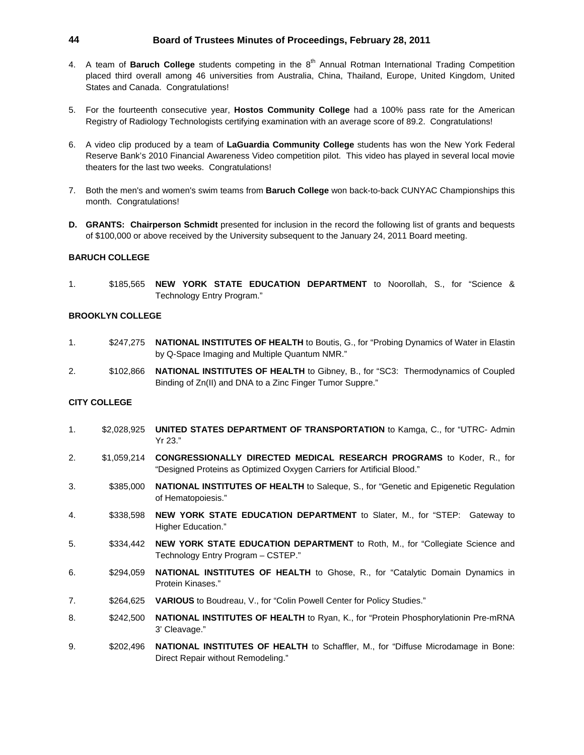- 4. A team of **Baruch College** students competing in the 8<sup>th</sup> Annual Rotman International Trading Competition placed third overall among 46 universities from Australia, China, Thailand, Europe, United Kingdom, United States and Canada. Congratulations!
- 5. For the fourteenth consecutive year, **Hostos Community College** had a 100% pass rate for the American Registry of Radiology Technologists certifying examination with an average score of 89.2. Congratulations!
- 6. A video clip produced by a team of **LaGuardia Community College** students has won the New York Federal Reserve Bank's 2010 Financial Awareness Video competition pilot. This video has played in several local movie theaters for the last two weeks. Congratulations!
- 7. Both the men's and women's swim teams from **Baruch College** won back-to-back CUNYAC Championships this month. Congratulations!
- **D. GRANTS: Chairperson Schmidt** presented for inclusion in the record the following list of grants and bequests of \$100,000 or above received by the University subsequent to the January 24, 2011 Board meeting.

### **BARUCH COLLEGE**

1. \$185,565 **NEW YORK STATE EDUCATION DEPARTMENT** to Noorollah, S., for "Science & Technology Entry Program."

# **BROOKLYN COLLEGE**

- 1. \$247,275 **NATIONAL INSTITUTES OF HEALTH** to Boutis, G., for "Probing Dynamics of Water in Elastin by Q-Space Imaging and Multiple Quantum NMR."
- 2. \$102,866 **NATIONAL INSTITUTES OF HEALTH** to Gibney, B., for "SC3: Thermodynamics of Coupled Binding of Zn(II) and DNA to a Zinc Finger Tumor Suppre."

#### **CITY COLLEGE**

- 1. \$2,028,925 **UNITED STATES DEPARTMENT OF TRANSPORTATION** to Kamga, C., for "UTRC- Admin Yr 23."
- 2. \$1,059,214 **CONGRESSIONALLY DIRECTED MEDICAL RESEARCH PROGRAMS** to Koder, R., for "Designed Proteins as Optimized Oxygen Carriers for Artificial Blood."
- 3. \$385,000 **NATIONAL INSTITUTES OF HEALTH** to Saleque, S., for "Genetic and Epigenetic Regulation of Hematopoiesis."
- 4. \$338,598 **NEW YORK STATE EDUCATION DEPARTMENT** to Slater, M., for "STEP: Gateway to Higher Education."
- 5. \$334,442 **NEW YORK STATE EDUCATION DEPARTMENT** to Roth, M., for "Collegiate Science and Technology Entry Program – CSTEP."
- 6. \$294,059 **NATIONAL INSTITUTES OF HEALTH** to Ghose, R., for "Catalytic Domain Dynamics in Protein Kinases."
- 7. \$264,625 **VARIOUS** to Boudreau, V., for "Colin Powell Center for Policy Studies."
- 8. \$242,500 **NATIONAL INSTITUTES OF HEALTH** to Ryan, K., for "Protein Phosphorylationin Pre-mRNA 3' Cleavage."
- 9. \$202,496 **NATIONAL INSTITUTES OF HEALTH** to Schaffler, M., for "Diffuse Microdamage in Bone: Direct Repair without Remodeling."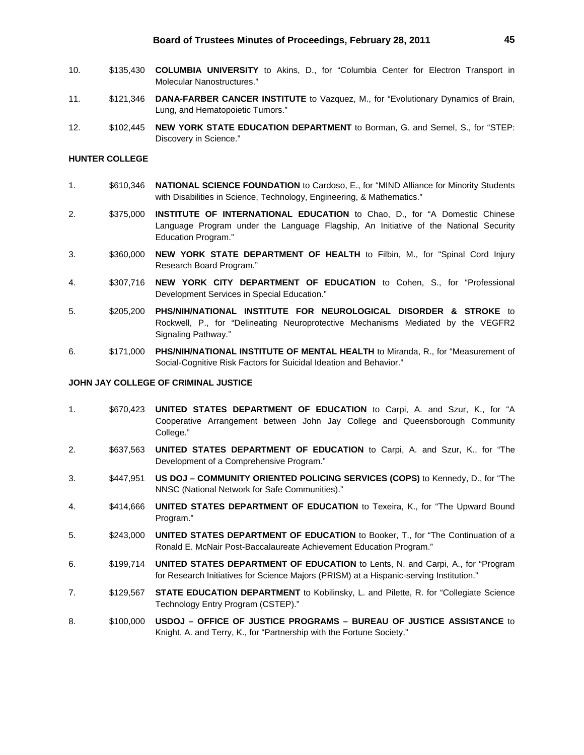- 10. \$135,430 **COLUMBIA UNIVERSITY** to Akins, D., for "Columbia Center for Electron Transport in Molecular Nanostructures."
- 11. \$121,346 **DANA-FARBER CANCER INSTITUTE** to Vazquez, M., for "Evolutionary Dynamics of Brain, Lung, and Hematopoietic Tumors."
- 12. \$102,445 **NEW YORK STATE EDUCATION DEPARTMENT** to Borman, G. and Semel, S., for "STEP: Discovery in Science."

# **HUNTER COLLEGE**

- 1. \$610,346 **NATIONAL SCIENCE FOUNDATION** to Cardoso, E., for "MIND Alliance for Minority Students with Disabilities in Science, Technology, Engineering, & Mathematics."
- 2. \$375,000 **INSTITUTE OF INTERNATIONAL EDUCATION** to Chao, D., for "A Domestic Chinese Language Program under the Language Flagship, An Initiative of the National Security Education Program."
- 3. \$360,000 **NEW YORK STATE DEPARTMENT OF HEALTH** to Filbin, M., for "Spinal Cord Injury Research Board Program."
- 4. \$307,716 **NEW YORK CITY DEPARTMENT OF EDUCATION** to Cohen, S., for "Professional Development Services in Special Education."
- 5. \$205,200 **PHS/NIH/NATIONAL INSTITUTE FOR NEUROLOGICAL DISORDER & STROKE** to Rockwell, P., for "Delineating Neuroprotective Mechanisms Mediated by the VEGFR2 Signaling Pathway."
- 6. \$171,000 **PHS/NIH/NATIONAL INSTITUTE OF MENTAL HEALTH** to Miranda, R., for "Measurement of Social-Cognitive Risk Factors for Suicidal Ideation and Behavior."

### **JOHN JAY COLLEGE OF CRIMINAL JUSTICE**

- 1. \$670,423 **UNITED STATES DEPARTMENT OF EDUCATION** to Carpi, A. and Szur, K., for "A Cooperative Arrangement between John Jay College and Queensborough Community College."
- 2. \$637,563 **UNITED STATES DEPARTMENT OF EDUCATION** to Carpi, A. and Szur, K., for "The Development of a Comprehensive Program."
- 3. \$447,951 **US DOJ COMMUNITY ORIENTED POLICING SERVICES (COPS)** to Kennedy, D., for "The NNSC (National Network for Safe Communities)."
- 4. \$414,666 **UNITED STATES DEPARTMENT OF EDUCATION** to Texeira, K., for "The Upward Bound Program."
- 5. \$243,000 **UNITED STATES DEPARTMENT OF EDUCATION** to Booker, T., for "The Continuation of a Ronald E. McNair Post-Baccalaureate Achievement Education Program."
- 6. \$199,714 **UNITED STATES DEPARTMENT OF EDUCATION** to Lents, N. and Carpi, A., for "Program for Research Initiatives for Science Majors (PRISM) at a Hispanic-serving Institution."
- 7. \$129,567 **STATE EDUCATION DEPARTMENT** to Kobilinsky, L. and Pilette, R. for "Collegiate Science Technology Entry Program (CSTEP)."
- 8. \$100,000 **USDOJ OFFICE OF JUSTICE PROGRAMS BUREAU OF JUSTICE ASSISTANCE** to Knight, A. and Terry, K., for "Partnership with the Fortune Society."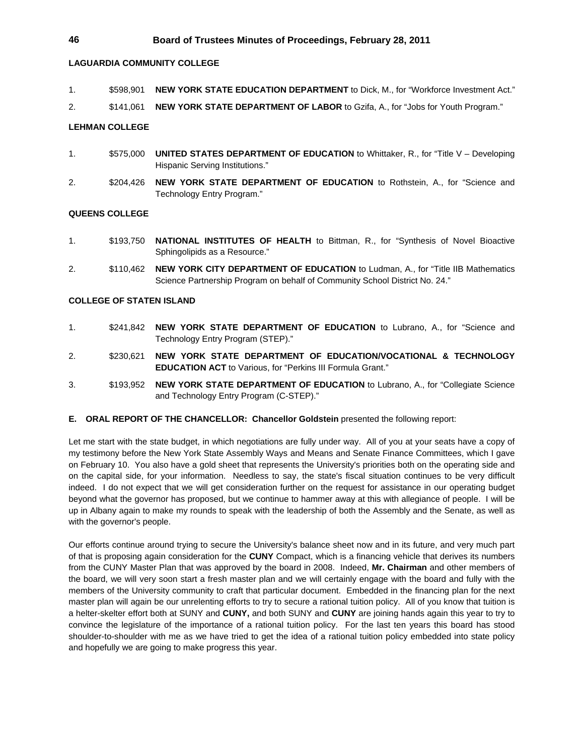# **LAGUARDIA COMMUNITY COLLEGE**

- 1. \$598,901 **NEW YORK STATE EDUCATION DEPARTMENT** to Dick, M., for "Workforce Investment Act."
- 2. \$141,061 **NEW YORK STATE DEPARTMENT OF LABOR** to Gzifa, A., for "Jobs for Youth Program."

# **LEHMAN COLLEGE**

- 1. \$575,000 **UNITED STATES DEPARTMENT OF EDUCATION** to Whittaker, R., for "Title V Developing Hispanic Serving Institutions."
- 2. \$204,426 **NEW YORK STATE DEPARTMENT OF EDUCATION** to Rothstein, A., for "Science and Technology Entry Program."

### **QUEENS COLLEGE**

- 1. \$193,750 **NATIONAL INSTITUTES OF HEALTH** to Bittman, R., for "Synthesis of Novel Bioactive Sphingolipids as a Resource."
- 2. \$110,462 **NEW YORK CITY DEPARTMENT OF EDUCATION** to Ludman, A., for "Title IIB Mathematics Science Partnership Program on behalf of Community School District No. 24."

### **COLLEGE OF STATEN ISLAND**

- 1. \$241,842 **NEW YORK STATE DEPARTMENT OF EDUCATION** to Lubrano, A., for "Science and Technology Entry Program (STEP)."
- 2. \$230,621 **NEW YORK STATE DEPARTMENT OF EDUCATION/VOCATIONAL & TECHNOLOGY EDUCATION ACT** to Various, for "Perkins III Formula Grant."
- 3. \$193,952 **NEW YORK STATE DEPARTMENT OF EDUCATION** to Lubrano, A., for "Collegiate Science and Technology Entry Program (C-STEP)."
- **E. ORAL REPORT OF THE CHANCELLOR: Chancellor Goldstein** presented the following report:

 Let me start with the state budget, in which negotiations are fully under way. All of you at your seats have a copy of on the capital side, for your information. Needless to say, the state's fiscal situation continues to be very difficult beyond what the governor has proposed, but we continue to hammer away at this with allegiance of people. I will be up in Albany again to make my rounds to speak with the leadership of both the Assembly and the Senate, as well as my testimony before the New York State Assembly Ways and Means and Senate Finance Committees, which I gave on February 10. You also have a gold sheet that represents the University's priorities both on the operating side and indeed. I do not expect that we will get consideration further on the request for assistance in our operating budget with the governor's people.

 the board, we will very soon start a fresh master plan and we will certainly engage with the board and fully with the Our efforts continue around trying to secure the University's balance sheet now and in its future, and very much part of that is proposing again consideration for the **CUNY** Compact, which is a financing vehicle that derives its numbers from the CUNY Master Plan that was approved by the board in 2008. Indeed, **Mr. Chairman** and other members of members of the University community to craft that particular document. Embedded in the financing plan for the next master plan will again be our unrelenting efforts to try to secure a rational tuition policy. All of you know that tuition is a helter-skelter effort both at SUNY and **CUNY,** and both SUNY and **CUNY** are joining hands again this year to try to convince the legislature of the importance of a rational tuition policy. For the last ten years this board has stood shoulder-to-shoulder with me as we have tried to get the idea of a rational tuition policy embedded into state policy and hopefully we are going to make progress this year.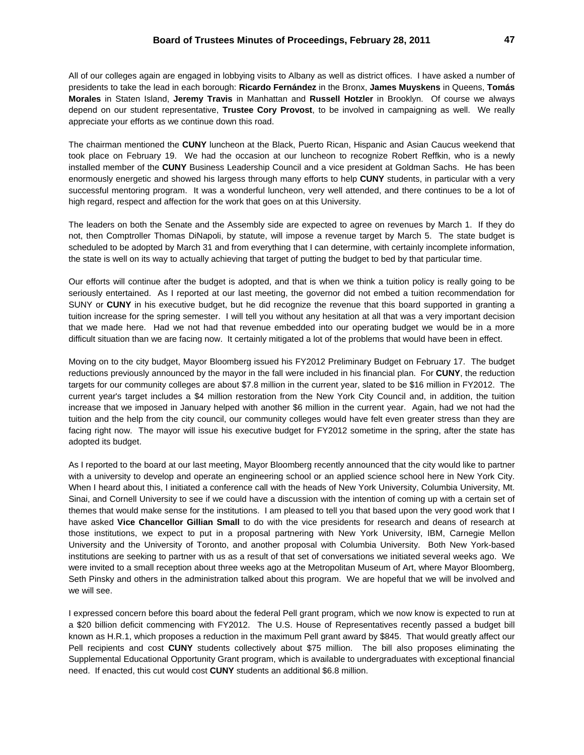All of our colleges again are engaged in lobbying visits to Albany as well as district offices. I have asked a number of presidents to take the lead in each borough: **Ricardo Fernández** in the Bronx, **James Muyskens** in Queens, **Tomás Morales** in Staten Island, **Jeremy Travis** in Manhattan and **Russell Hotzler** in Brooklyn. Of course we always depend on our student representative, **Trustee Cory Provost**, to be involved in campaigning as well. We really appreciate your efforts as we continue down this road.

The chairman mentioned the **CUNY** luncheon at the Black, Puerto Rican, Hispanic and Asian Caucus weekend that took place on February 19. We had the occasion at our luncheon to recognize Robert Reffkin, who is a newly installed member of the **CUNY** Business Leadership Council and a vice president at Goldman Sachs. He has been enormously energetic and showed his largess through many efforts to help **CUNY** students, in particular with a very successful mentoring program. It was a wonderful luncheon, very well attended, and there continues to be a lot of high regard, respect and affection for the work that goes on at this University.

The leaders on both the Senate and the Assembly side are expected to agree on revenues by March 1. If they do not, then Comptroller Thomas DiNapoli, by statute, will impose a revenue target by March 5. The state budget is scheduled to be adopted by March 31 and from everything that I can determine, with certainly incomplete information, the state is well on its way to actually achieving that target of putting the budget to bed by that particular time.

Our efforts will continue after the budget is adopted, and that is when we think a tuition policy is really going to be seriously entertained. As I reported at our last meeting, the governor did not embed a tuition recommendation for SUNY or **CUNY** in his executive budget, but he did recognize the revenue that this board supported in granting a tuition increase for the spring semester. I will tell you without any hesitation at all that was a very important decision that we made here. Had we not had that revenue embedded into our operating budget we would be in a more difficult situation than we are facing now. It certainly mitigated a lot of the problems that would have been in effect.

 Moving on to the city budget, Mayor Bloomberg issued his FY2012 Preliminary Budget on February 17. The budget current year's target includes a \$4 million restoration from the New York City Council and, in addition, the tuition reductions previously announced by the mayor in the fall were included in his financial plan. For **CUNY**, the reduction targets for our community colleges are about \$7.8 million in the current year, slated to be \$16 million in FY2012. The increase that we imposed in January helped with another \$6 million in the current year. Again, had we not had the tuition and the help from the city council, our community colleges would have felt even greater stress than they are facing right now. The mayor will issue his executive budget for FY2012 sometime in the spring, after the state has adopted its budget.

with a university to develop and operate an engineering school or an applied science school here in New York City. with a university to develop and operate an engineering school or an applied science school here in New York City.<br>When I heard about this, I initiated a conference call with the heads of New York University, Columbia Univ we will see. As I reported to the board at our last meeting, Mayor Bloomberg recently announced that the city would like to partner Sinai, and Cornell University to see if we could have a discussion with the intention of coming up with a certain set of themes that would make sense for the institutions. I am pleased to tell you that based upon the very good work that I have asked **Vice Chancellor Gillian Small** to do with the vice presidents for research and deans of research at those institutions, we expect to put in a proposal partnering with New York University, IBM, Carnegie Mellon University and the University of Toronto, and another proposal with Columbia University. Both New York-based institutions are seeking to partner with us as a result of that set of conversations we initiated several weeks ago. We were invited to a small reception about three weeks ago at the Metropolitan Museum of Art, where Mayor Bloomberg, Seth Pinsky and others in the administration talked about this program. We are hopeful that we will be involved and

I expressed concern before this board about the federal Pell grant program, which we now know is expected to run at a \$20 billion deficit commencing with FY2012. The U.S. House of Representatives recently passed a budget bill known as H.R.1, which proposes a reduction in the maximum Pell grant award by \$845. That would greatly affect our Pell recipients and cost **CUNY** students collectively about \$75 million. The bill also proposes eliminating the Supplemental Educational Opportunity Grant program, which is available to undergraduates with exceptional financial need. If enacted, this cut would cost **CUNY** students an additional \$6.8 million.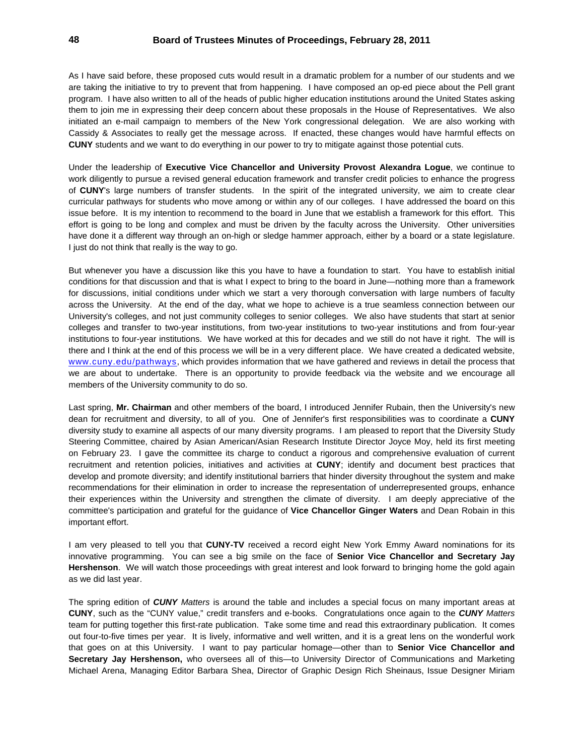them to join me in expressing their deep concern about these proposals in the House of Representatives. We also As I have said before, these proposed cuts would result in a dramatic problem for a number of our students and we are taking the initiative to try to prevent that from happening. I have composed an op-ed piece about the Pell grant program. I have also written to all of the heads of public higher education institutions around the United States asking initiated an e-mail campaign to members of the New York congressional delegation. We are also working with Cassidy & Associates to really get the message across. If enacted, these changes would have harmful effects on **CUNY** students and we want to do everything in our power to try to mitigate against those potential cuts.

 Under the leadership of **Executive Vice Chancellor and University Provost Alexandra Logue**, we continue to work diligently to pursue a revised general education framework and transfer credit policies to enhance the progress of **CUNY**'s large numbers of transfer students. In the spirit of the integrated university, we aim to create clear curricular pathways for students who move among or within any of our colleges. I have addressed the board on this issue before. It is my intention to recommend to the board in June that we establish a framework for this effort. This effort is going to be long and complex and must be driven by the faculty across the University. Other universities have done it a different way through an on-high or sledge hammer approach, either by a board or a state legislature. I just do not think that really is the way to go.

 institutions to four-year institutions. We have worked at this for decades and we still do not have it right. The will is But whenever you have a discussion like this you have to have a foundation to start. You have to establish initial conditions for that discussion and that is what I expect to bring to the board in June—nothing more than a framework for discussions, initial conditions under which we start a very thorough conversation with large numbers of faculty across the University. At the end of the day, what we hope to achieve is a true seamless connection between our University's colleges, and not just community colleges to senior colleges. We also have students that start at senior colleges and transfer to two-year institutions, from two-year institutions to two-year institutions and from four-year there and I think at the end of this process we will be in a very different place. We have created a dedicated website, www.cuny.edu/pathways, which provides information that we have gathered and reviews in detail the process that we are about to undertake. There is an opportunity to provide feedback via the website and we encourage all members of the University community to do so.

Last spring, **Mr. Chairman** and other members of the board, I introduced Jennifer Rubain, then the University's new dean for recruitment and diversity, to all of you. One of Jennifer's first responsibilities was to coordinate a **CUNY**  diversity study to examine all aspects of our many diversity programs. I am pleased to report that the Diversity Study Steering Committee, chaired by Asian American/Asian Research Institute Director Joyce Moy, held its first meeting on February 23. I gave the committee its charge to conduct a rigorous and comprehensive evaluation of current recruitment and retention policies, initiatives and activities at **CUNY**; identify and document best practices that develop and promote diversity; and identify institutional barriers that hinder diversity throughout the system and make recommendations for their elimination in order to increase the representation of underrepresented groups, enhance their experiences within the University and strengthen the climate of diversity. I am deeply appreciative of the committee's participation and grateful for the guidance of **Vice Chancellor Ginger Waters** and Dean Robain in this important effort.

I am very pleased to tell you that **CUNY-TV** received a record eight New York Emmy Award nominations for its innovative programming. You can see a big smile on the face of **Senior Vice Chancellor and Secretary Jay Hershenson**. We will watch those proceedings with great interest and look forward to bringing home the gold again as we did last year.

 out four-to-five times per year. It is lively, informative and well written, and it is a great lens on the wonderful work The spring edition of *CUNY Matters* is around the table and includes a special focus on many important areas at **CUNY**, such as the "CUNY value," credit transfers and e-books. Congratulations once again to the *CUNY Matters*  team for putting together this first-rate publication. Take some time and read this extraordinary publication. It comes that goes on at this University. I want to pay particular homage—other than to **Senior Vice Chancellor and Secretary Jay Hershenson,** who oversees all of this—to University Director of Communications and Marketing Michael Arena, Managing Editor Barbara Shea, Director of Graphic Design Rich Sheinaus, Issue Designer Miriam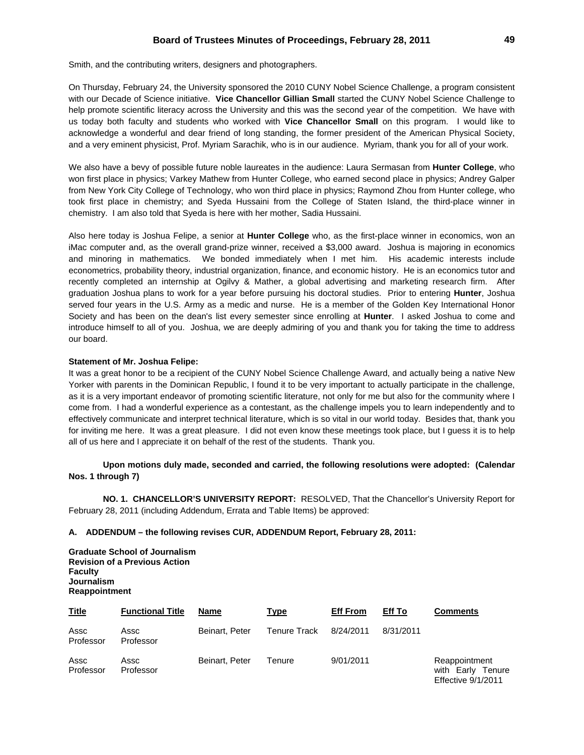Smith, and the contributing writers, designers and photographers.

 help promote scientific literacy across the University and this was the second year of the competition. We have with On Thursday, February 24, the University sponsored the 2010 CUNY Nobel Science Challenge, a program consistent with our Decade of Science initiative. **Vice Chancellor Gillian Small** started the CUNY Nobel Science Challenge to us today both faculty and students who worked with **Vice Chancellor Small** on this program. I would like to acknowledge a wonderful and dear friend of long standing, the former president of the American Physical Society, and a very eminent physicist, Prof. Myriam Sarachik, who is in our audience. Myriam, thank you for all of your work.

We also have a bevy of possible future noble laureates in the audience: Laura Sermasan from **Hunter College**, who won first place in physics; Varkey Mathew from Hunter College, who earned second place in physics; Andrey Galper from New York City College of Technology, who won third place in physics; Raymond Zhou from Hunter college, who took first place in chemistry; and Syeda Hussaini from the College of Staten Island, the third-place winner in chemistry. I am also told that Syeda is here with her mother, Sadia Hussaini.

Also here today is Joshua Felipe, a senior at **Hunter College** who, as the first-place winner in economics, won an iMac computer and, as the overall grand-prize winner, received a \$3,000 award. Joshua is majoring in economics and minoring in mathematics. We bonded immediately when I met him. His academic interests include econometrics, probability theory, industrial organization, finance, and economic history. He is an economics tutor and recently completed an internship at Ogilvy & Mather, a global advertising and marketing research firm. After graduation Joshua plans to work for a year before pursuing his doctoral studies. Prior to entering **Hunter**, Joshua served four years in the U.S. Army as a medic and nurse. He is a member of the Golden Key International Honor Society and has been on the dean's list every semester since enrolling at **Hunter**. I asked Joshua to come and introduce himself to all of you. Joshua, we are deeply admiring of you and thank you for taking the time to address our board.

### **Statement of Mr. Joshua Felipe:**

 as it is a very important endeavor of promoting scientific literature, not only for me but also for the community where I come from. I had a wonderful experience as a contestant, as the challenge impels you to learn independently and to It was a great honor to be a recipient of the CUNY Nobel Science Challenge Award, and actually being a native New Yorker with parents in the Dominican Republic, I found it to be very important to actually participate in the challenge, effectively communicate and interpret technical literature, which is so vital in our world today. Besides that, thank you for inviting me here. It was a great pleasure. I did not even know these meetings took place, but I guess it is to help all of us here and I appreciate it on behalf of the rest of the students. Thank you.

**Upon motions duly made, seconded and carried, the following resolutions were adopted: (Calendar Nos. 1 through 7)** 

**NO. 1. CHANCELLOR'S UNIVERSITY REPORT:** RESOLVED, That the Chancellor's University Report for February 28, 2011 (including Addendum, Errata and Table Items) be approved:

### **A. ADDENDUM – the following revises CUR, ADDENDUM Report, February 28, 2011:**

 **Revision of a Previous Action Graduate School of Journalism Faculty Journalism Reappointment** 

| <b>Title</b>      | <b>Functional Title</b> | <b>Name</b>    | Type         | <b>Eff From</b> | Eff To    | <b>Comments</b>                                          |
|-------------------|-------------------------|----------------|--------------|-----------------|-----------|----------------------------------------------------------|
| Assc<br>Professor | Assc<br>Professor       | Beinart, Peter | Tenure Track | 8/24/2011       | 8/31/2011 |                                                          |
| Assc<br>Professor | Assc<br>Professor       | Beinart, Peter | Tenure       | 9/01/2011       |           | Reappointment<br>with Early Tenure<br>Effective 9/1/2011 |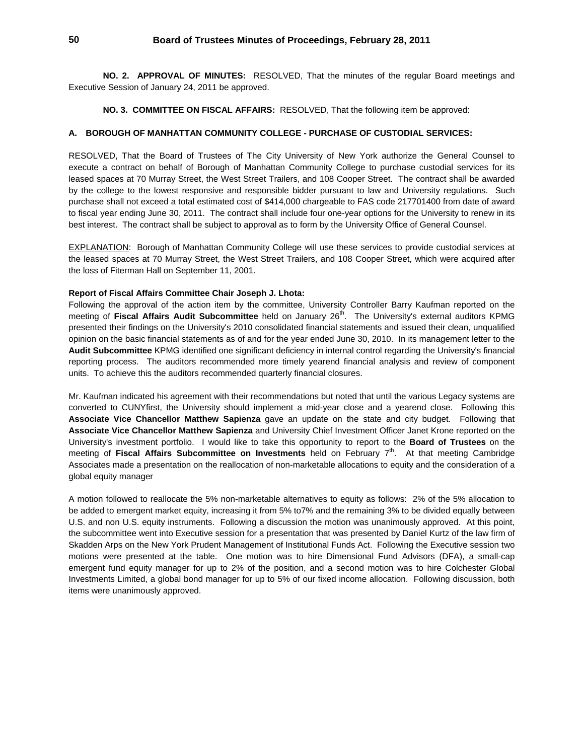**NO. 2. APPROVAL OF MINUTES:** RESOLVED, That the minutes of the regular Board meetings and Executive Session of January 24, 2011 be approved.

# **NO. 3. COMMITTEE ON FISCAL AFFAIRS:** RESOLVED, That the following item be approved:

# **A. BOROUGH OF MANHATTAN COMMUNITY COLLEGE - PURCHASE OF CUSTODIAL SERVICES:**

 to fiscal year ending June 30, 2011. The contract shall include four one-year options for the University to renew in its RESOLVED, That the Board of Trustees of The City University of New York authorize the General Counsel to execute a contract on behalf of Borough of Manhattan Community College to purchase custodial services for its leased spaces at 70 Murray Street, the West Street Trailers, and 108 Cooper Street. The contract shall be awarded by the college to the lowest responsive and responsible bidder pursuant to law and University regulations. Such purchase shall not exceed a total estimated cost of \$414,000 chargeable to FAS code 217701400 from date of award best interest. The contract shall be subject to approval as to form by the University Office of General Counsel.

EXPLANATION: Borough of Manhattan Community College will use these services to provide custodial services at the leased spaces at 70 Murray Street, the West Street Trailers, and 108 Cooper Street, which were acquired after the loss of Fiterman Hall on September 11, 2001.

## **Report of Fiscal Affairs Committee Chair Joseph J. Lhota:**

Following the approval of the action item by the committee, University Controller Barry Kaufman reported on the meeting of **Fiscal Affairs Audit Subcommittee** held on January 26<sup>th</sup>. The University's external auditors KPMG presented their findings on the University's 2010 consolidated financial statements and issued their clean, unqualified opinion on the basic financial statements as of and for the year ended June 30, 2010. In its management letter to the **Audit Subcommittee** KPMG identified one significant deficiency in internal control regarding the University's financial reporting process. The auditors recommended more timely yearend financial analysis and review of component units. To achieve this the auditors recommended quarterly financial closures.

Mr. Kaufman indicated his agreement with their recommendations but noted that until the various Legacy systems are converted to CUNYfirst, the University should implement a mid-year close and a yearend close. Following this **Associate Vice Chancellor Matthew Sapienza** gave an update on the state and city budget. Following that **Associate Vice Chancellor Matthew Sapienza** and University Chief Investment Officer Janet Krone reported on the University's investment portfolio. I would like to take this opportunity to report to the **Board of Trustees** on the meeting of **Fiscal Affairs Subcommittee on Investments** held on February 7<sup>th</sup>. At that meeting Cambridge Associates made a presentation on the reallocation of non-marketable allocations to equity and the consideration of a global equity manager

 be added to emergent market equity, increasing it from 5% to7% and the remaining 3% to be divided equally between motions were presented at the table. One motion was to hire Dimensional Fund Advisors (DFA), a small-cap A motion followed to reallocate the 5% non-marketable alternatives to equity as follows: 2% of the 5% allocation to U.S. and non U.S. equity instruments. Following a discussion the motion was unanimously approved. At this point, the subcommittee went into Executive session for a presentation that was presented by Daniel Kurtz of the law firm of Skadden Arps on the New York Prudent Management of Institutional Funds Act. Following the Executive session two emergent fund equity manager for up to 2% of the position, and a second motion was to hire Colchester Global Investments Limited, a global bond manager for up to 5% of our fixed income allocation. Following discussion, both items were unanimously approved.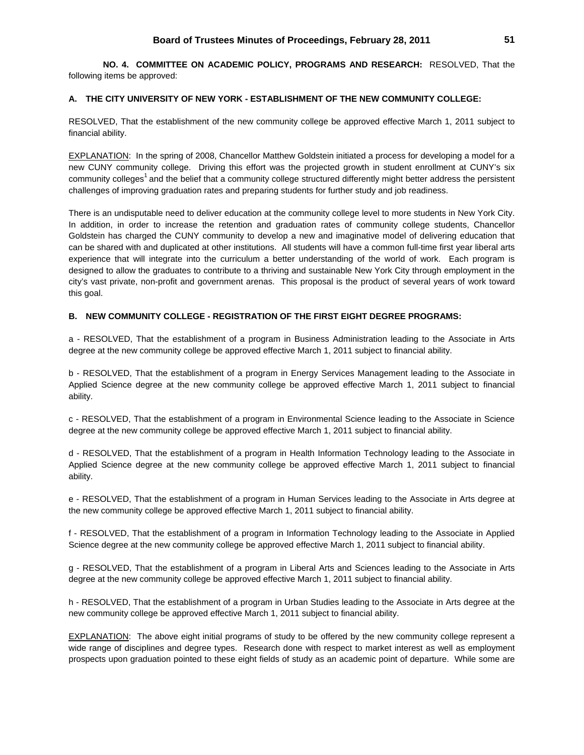**NO. 4. COMMITTEE ON ACADEMIC POLICY, PROGRAMS AND RESEARCH:** RESOLVED, That the following items be approved:

#### **A. THE CITY UNIVERSITY OF NEW YORK - ESTABLISHMENT OF THE NEW COMMUNITY COLLEGE:**

 RESOLVED, That the establishment of the new community college be approved effective March 1, 2011 subject to financial ability.

EXPLANATION: In the spring of 2008, Chancellor Matthew Goldstein initiated a process for developing a model for a new CUNY community college. Driving this effort was the projected growth in student enrollment at CUNY's six community colleges<sup>1</sup> and the belief that a community college structured differently might better address the persistent challenges of improving graduation rates and preparing students for further study and job readiness.

There is an undisputable need to deliver education at the community college level to more students in New York City. city's vast private, non-profit and government arenas. This proposal is the product of several years of work toward In addition, in order to increase the retention and graduation rates of community college students, Chancellor Goldstein has charged the CUNY community to develop a new and imaginative model of delivering education that can be shared with and duplicated at other institutions. All students will have a common full-time first year liberal arts experience that will integrate into the curriculum a better understanding of the world of work. Each program is designed to allow the graduates to contribute to a thriving and sustainable New York City through employment in the this goal.

### **B. NEW COMMUNITY COLLEGE - REGISTRATION OF THE FIRST EIGHT DEGREE PROGRAMS:**

a - RESOLVED, That the establishment of a program in Business Administration leading to the Associate in Arts degree at the new community college be approved effective March 1, 2011 subject to financial ability.

b - RESOLVED, That the establishment of a program in Energy Services Management leading to the Associate in Applied Science degree at the new community college be approved effective March 1, 2011 subject to financial ability.

c - RESOLVED, That the establishment of a program in Environmental Science leading to the Associate in Science degree at the new community college be approved effective March 1, 2011 subject to financial ability.

d - RESOLVED, That the establishment of a program in Health Information Technology leading to the Associate in Applied Science degree at the new community college be approved effective March 1, 2011 subject to financial ability.

e - RESOLVED, That the establishment of a program in Human Services leading to the Associate in Arts degree at the new community college be approved effective March 1, 2011 subject to financial ability.

f - RESOLVED, That the establishment of a program in Information Technology leading to the Associate in Applied Science degree at the new community college be approved effective March 1, 2011 subject to financial ability.

g - RESOLVED, That the establishment of a program in Liberal Arts and Sciences leading to the Associate in Arts degree at the new community college be approved effective March 1, 2011 subject to financial ability.

h - RESOLVED, That the establishment of a program in Urban Studies leading to the Associate in Arts degree at the new community college be approved effective March 1, 2011 subject to financial ability.

EXPLANATION: The above eight initial programs of study to be offered by the new community college represent a wide range of disciplines and degree types. Research done with respect to market interest as well as employment prospects upon graduation pointed to these eight fields of study as an academic point of departure. While some are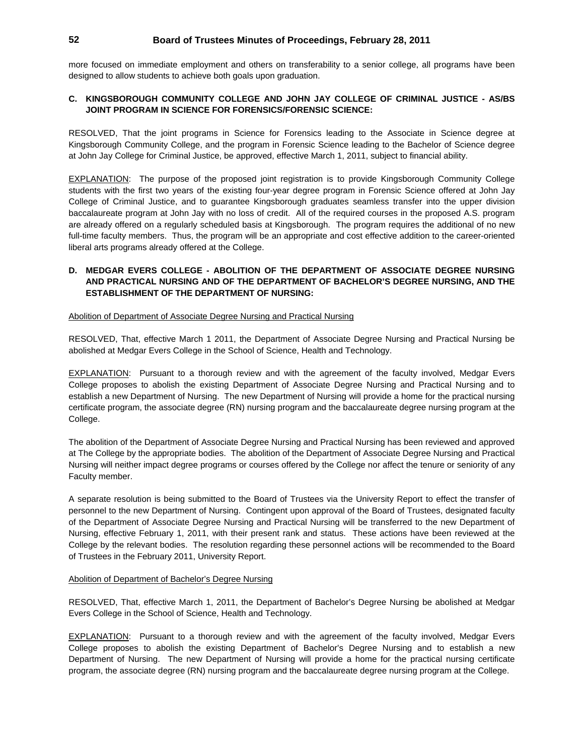more focused on immediate employment and others on transferability to a senior college, all programs have been designed to allow students to achieve both goals upon graduation.

# **C. KINGSBOROUGH COMMUNITY COLLEGE AND JOHN JAY COLLEGE OF CRIMINAL JUSTICE - AS/BS JOINT PROGRAM IN SCIENCE FOR FORENSICS/FORENSIC SCIENCE:**

RESOLVED, That the joint programs in Science for Forensics leading to the Associate in Science degree at Kingsborough Community College, and the program in Forensic Science leading to the Bachelor of Science degree at John Jay College for Criminal Justice, be approved, effective March 1, 2011, subject to financial ability.

EXPLANATION: The purpose of the proposed joint registration is to provide Kingsborough Community College students with the first two years of the existing four-year degree program in Forensic Science offered at John Jay College of Criminal Justice, and to guarantee Kingsborough graduates seamless transfer into the upper division baccalaureate program at John Jay with no loss of credit. All of the required courses in the proposed A.S. program are already offered on a regularly scheduled basis at Kingsborough. The program requires the additional of no new full-time faculty members. Thus, the program will be an appropriate and cost effective addition to the career-oriented liberal arts programs already offered at the College.

# **D. MEDGAR EVERS COLLEGE - ABOLITION OF THE DEPARTMENT OF ASSOCIATE DEGREE NURSING AND PRACTICAL NURSING AND OF THE DEPARTMENT OF BACHELOR'S DEGREE NURSING, AND THE ESTABLISHMENT OF THE DEPARTMENT OF NURSING:**

#### Abolition of Department of Associate Degree Nursing and Practical Nursing

RESOLVED, That, effective March 1 2011, the Department of Associate Degree Nursing and Practical Nursing be abolished at Medgar Evers College in the School of Science, Health and Technology.

EXPLANATION: Pursuant to a thorough review and with the agreement of the faculty involved, Medgar Evers College proposes to abolish the existing Department of Associate Degree Nursing and Practical Nursing and to establish a new Department of Nursing. The new Department of Nursing will provide a home for the practical nursing certificate program, the associate degree (RN) nursing program and the baccalaureate degree nursing program at the College.

The abolition of the Department of Associate Degree Nursing and Practical Nursing has been reviewed and approved at The College by the appropriate bodies. The abolition of the Department of Associate Degree Nursing and Practical Nursing will neither impact degree programs or courses offered by the College nor affect the tenure or seniority of any Faculty member.

A separate resolution is being submitted to the Board of Trustees via the University Report to effect the transfer of personnel to the new Department of Nursing. Contingent upon approval of the Board of Trustees, designated faculty of the Department of Associate Degree Nursing and Practical Nursing will be transferred to the new Department of Nursing, effective February 1, 2011, with their present rank and status. These actions have been reviewed at the College by the relevant bodies. The resolution regarding these personnel actions will be recommended to the Board of Trustees in the February 2011, University Report.

### Abolition of Department of Bachelor's Degree Nursing

RESOLVED, That, effective March 1, 2011, the Department of Bachelor's Degree Nursing be abolished at Medgar Evers College in the School of Science, Health and Technology.

EXPLANATION: Pursuant to a thorough review and with the agreement of the faculty involved, Medgar Evers College proposes to abolish the existing Department of Bachelor's Degree Nursing and to establish a new Department of Nursing. The new Department of Nursing will provide a home for the practical nursing certificate program, the associate degree (RN) nursing program and the baccalaureate degree nursing program at the College.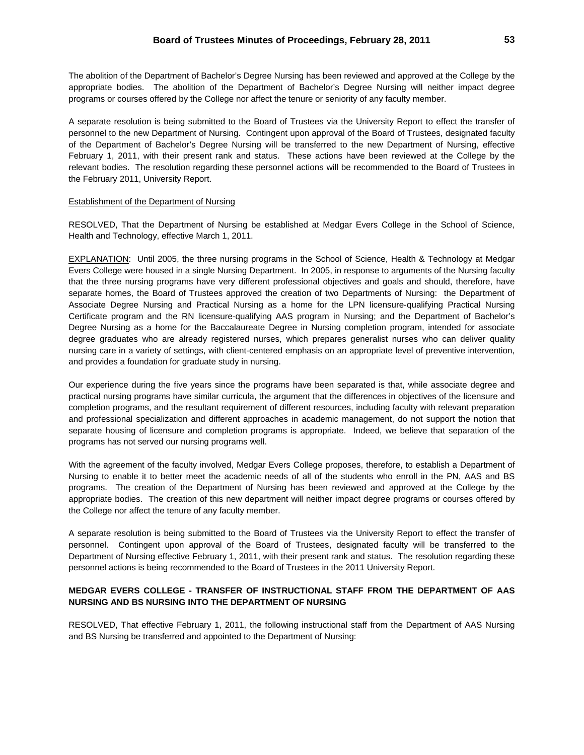The abolition of the Department of Bachelor's Degree Nursing has been reviewed and approved at the College by the appropriate bodies. The abolition of the Department of Bachelor's Degree Nursing will neither impact degree programs or courses offered by the College nor affect the tenure or seniority of any faculty member.

A separate resolution is being submitted to the Board of Trustees via the University Report to effect the transfer of personnel to the new Department of Nursing. Contingent upon approval of the Board of Trustees, designated faculty of the Department of Bachelor's Degree Nursing will be transferred to the new Department of Nursing, effective February 1, 2011, with their present rank and status. These actions have been reviewed at the College by the relevant bodies. The resolution regarding these personnel actions will be recommended to the Board of Trustees in the February 2011, University Report.

#### Establishment of the Department of Nursing

RESOLVED, That the Department of Nursing be established at Medgar Evers College in the School of Science, Health and Technology, effective March 1, 2011.

EXPLANATION: Until 2005, the three nursing programs in the School of Science, Health & Technology at Medgar Evers College were housed in a single Nursing Department. In 2005, in response to arguments of the Nursing faculty that the three nursing programs have very different professional objectives and goals and should, therefore, have separate homes, the Board of Trustees approved the creation of two Departments of Nursing: the Department of Associate Degree Nursing and Practical Nursing as a home for the LPN licensure-qualifying Practical Nursing Certificate program and the RN licensure-qualifying AAS program in Nursing; and the Department of Bachelor's Degree Nursing as a home for the Baccalaureate Degree in Nursing completion program, intended for associate degree graduates who are already registered nurses, which prepares generalist nurses who can deliver quality nursing care in a variety of settings, with client-centered emphasis on an appropriate level of preventive intervention, and provides a foundation for graduate study in nursing.

Our experience during the five years since the programs have been separated is that, while associate degree and practical nursing programs have similar curricula, the argument that the differences in objectives of the licensure and completion programs, and the resultant requirement of different resources, including faculty with relevant preparation and professional specialization and different approaches in academic management, do not support the notion that separate housing of licensure and completion programs is appropriate. Indeed, we believe that separation of the programs has not served our nursing programs well.

 programs. The creation of the Department of Nursing has been reviewed and approved at the College by the With the agreement of the faculty involved, Medgar Evers College proposes, therefore, to establish a Department of Nursing to enable it to better meet the academic needs of all of the students who enroll in the PN, AAS and BS appropriate bodies. The creation of this new department will neither impact degree programs or courses offered by the College nor affect the tenure of any faculty member.

A separate resolution is being submitted to the Board of Trustees via the University Report to effect the transfer of personnel. Contingent upon approval of the Board of Trustees, designated faculty will be transferred to the Department of Nursing effective February 1, 2011, with their present rank and status. The resolution regarding these personnel actions is being recommended to the Board of Trustees in the 2011 University Report.

### **MEDGAR EVERS COLLEGE - TRANSFER OF INSTRUCTIONAL STAFF FROM THE DEPARTMENT OF AAS NURSING AND BS NURSING INTO THE DEPARTMENT OF NURSING**

RESOLVED, That effective February 1, 2011, the following instructional staff from the Department of AAS Nursing and BS Nursing be transferred and appointed to the Department of Nursing: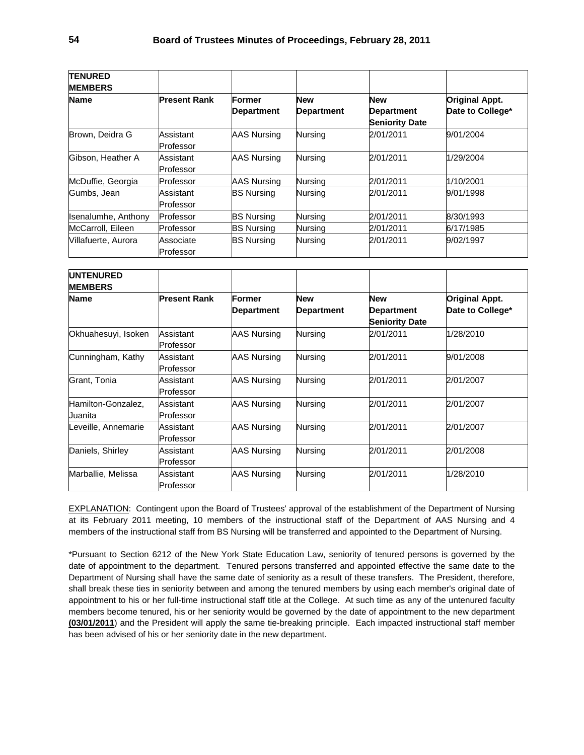| <b>TENURED</b><br><b>MEMBERS</b> |                        |                             |                                 |                                                          |                                           |
|----------------------------------|------------------------|-----------------------------|---------------------------------|----------------------------------------------------------|-------------------------------------------|
| <b>Name</b>                      | <b>Present Rank</b>    | Former<br><b>Department</b> | <b>New</b><br><b>Department</b> | <b>New</b><br><b>Department</b><br><b>Seniority Date</b> | <b>Original Appt.</b><br>Date to College* |
| Brown, Deidra G                  | Assistant<br>Professor | <b>AAS Nursing</b>          | Nursing                         | 2/01/2011                                                | 9/01/2004                                 |
| Gibson, Heather A                | Assistant<br>Professor | <b>AAS Nursing</b>          | Nursing                         | 2/01/2011                                                | 1/29/2004                                 |
| McDuffie, Georgia                | Professor              | <b>AAS Nursing</b>          | Nursing                         | 2/01/2011                                                | 1/10/2001                                 |
| Gumbs, Jean                      | Assistant<br>Professor | <b>BS Nursing</b>           | Nursing                         | 2/01/2011                                                | 9/01/1998                                 |
| <b>Isenalumhe, Anthony</b>       | Professor              | <b>BS Nursing</b>           | Nursing                         | 2/01/2011                                                | 8/30/1993                                 |
| McCarroll, Eileen                | Professor              | <b>BS Nursing</b>           | Nursing                         | 2/01/2011                                                | 6/17/1985                                 |
| Villafuerte, Aurora              | Associate<br>Professor | <b>BS Nursing</b>           | <b>Nursing</b>                  | 2/01/2011                                                | 9/02/1997                                 |

| <b>UNTENURED</b><br><b>MEMBERS</b> |                        |                                    |                                 |                                                          |                                           |
|------------------------------------|------------------------|------------------------------------|---------------------------------|----------------------------------------------------------|-------------------------------------------|
| <b>Name</b>                        | <b>Present Rank</b>    | <b>Former</b><br><b>Department</b> | <b>New</b><br><b>Department</b> | <b>New</b><br><b>Department</b><br><b>Seniority Date</b> | <b>Original Appt.</b><br>Date to College* |
| Okhuahesuyi, Isoken                | Assistant<br>Professor | <b>AAS Nursing</b>                 | Nursing                         | 2/01/2011                                                | 1/28/2010                                 |
| Cunningham, Kathy                  | Assistant<br>Professor | <b>AAS Nursing</b>                 | Nursing                         | 2/01/2011                                                | 9/01/2008                                 |
| Grant, Tonia                       | Assistant<br>Professor | <b>AAS Nursing</b>                 | Nursing                         | 2/01/2011                                                | 2/01/2007                                 |
| Hamilton-Gonzalez,<br>Juanita      | Assistant<br>Professor | <b>AAS Nursing</b>                 | Nursing                         | 2/01/2011                                                | 2/01/2007                                 |
| Leveille, Annemarie                | Assistant<br>Professor | <b>AAS Nursing</b>                 | Nursing                         | 2/01/2011                                                | 2/01/2007                                 |
| Daniels, Shirley                   | Assistant<br>Professor | <b>AAS Nursing</b>                 | Nursing                         | 2/01/2011                                                | 2/01/2008                                 |
| Marballie, Melissa                 | Assistant<br>Professor | <b>AAS Nursing</b>                 | Nursing                         | 2/01/2011                                                | 1/28/2010                                 |

EXPLANATION: Contingent upon the Board of Trustees' approval of the establishment of the Department of Nursing at its February 2011 meeting, 10 members of the instructional staff of the Department of AAS Nursing and 4 members of the instructional staff from BS Nursing will be transferred and appointed to the Department of Nursing.

\*Pursuant to Section 6212 of the New York State Education Law, seniority of tenured persons is governed by the date of appointment to the department. Tenured persons transferred and appointed effective the same date to the Department of Nursing shall have the same date of seniority as a result of these transfers. The President, therefore, shall break these ties in seniority between and among the tenured members by using each member's original date of appointment to his or her full-time instructional staff title at the College. At such time as any of the untenured faculty members become tenured, his or her seniority would be governed by the date of appointment to the new department **(03/01/2011**) and the President will apply the same tie-breaking principle. Each impacted instructional staff member has been advised of his or her seniority date in the new department.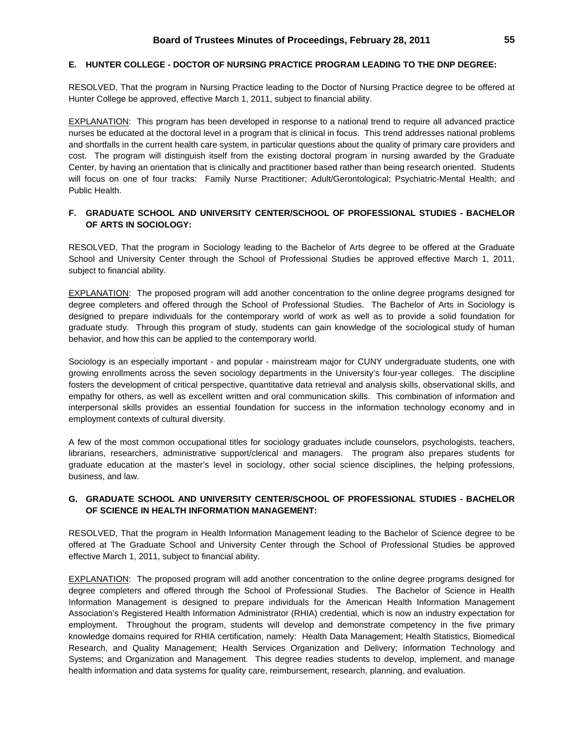# **E. HUNTER COLLEGE - DOCTOR OF NURSING PRACTICE PROGRAM LEADING TO THE DNP DEGREE:**

RESOLVED, That the program in Nursing Practice leading to the Doctor of Nursing Practice degree to be offered at Hunter College be approved, effective March 1, 2011, subject to financial ability.

EXPLANATION: This program has been developed in response to a national trend to require all advanced practice nurses be educated at the doctoral level in a program that is clinical in focus. This trend addresses national problems and shortfalls in the current health care system, in particular questions about the quality of primary care providers and cost. The program will distinguish itself from the existing doctoral program in nursing awarded by the Graduate Center, by having an orientation that is clinically and practitioner based rather than being research oriented. Students will focus on one of four tracks: Family Nurse Practitioner; Adult/Gerontological; Psychiatric-Mental Health; and Public Health.

# **F. GRADUATE SCHOOL AND UNIVERSITY CENTER/SCHOOL OF PROFESSIONAL STUDIES - BACHELOR OF ARTS IN SOCIOLOGY:**

 School and University Center through the School of Professional Studies be approved effective March 1, 2011, RESOLVED, That the program in Sociology leading to the Bachelor of Arts degree to be offered at the Graduate subject to financial ability.

 graduate study. Through this program of study, students can gain knowledge of the sociological study of human behavior, and how this can be applied to the contemporary world. EXPLANATION: The proposed program will add another concentration to the online degree programs designed for degree completers and offered through the School of Professional Studies. The Bachelor of Arts in Sociology is designed to prepare individuals for the contemporary world of work as well as to provide a solid foundation for

employment contexts of cultural diversity. Sociology is an especially important - and popular - mainstream major for CUNY undergraduate students, one with growing enrollments across the seven sociology departments in the University's four-year colleges. The discipline fosters the development of critical perspective, quantitative data retrieval and analysis skills, observational skills, and empathy for others, as well as excellent written and oral communication skills. This combination of information and interpersonal skills provides an essential foundation for success in the information technology economy and in

A few of the most common occupational titles for sociology graduates include counselors, psychologists, teachers, librarians, researchers, administrative support/clerical and managers. The program also prepares students for graduate education at the master's level in sociology, other social science disciplines, the helping professions, business, and law.

# **G. GRADUATE SCHOOL AND UNIVERSITY CENTER/SCHOOL OF PROFESSIONAL STUDIES - BACHELOR OF SCIENCE IN HEALTH INFORMATION MANAGEMENT:**

RESOLVED, That the program in Health Information Management leading to the Bachelor of Science degree to be offered at The Graduate School and University Center through the School of Professional Studies be approved effective March 1, 2011, subject to financial ability.

EXPLANATION: The proposed program will add another concentration to the online degree programs designed for degree completers and offered through the School of Professional Studies. The Bachelor of Science in Health Information Management is designed to prepare individuals for the American Health Information Management Association's Registered Health Information Administrator (RHIA) credential, which is now an industry expectation for employment. Throughout the program, students will develop and demonstrate competency in the five primary knowledge domains required for RHIA certification, namely: Health Data Management; Health Statistics, Biomedical Research, and Quality Management; Health Services Organization and Delivery; Information Technology and Systems; and Organization and Management. This degree readies students to develop, implement, and manage health information and data systems for quality care, reimbursement, research, planning, and evaluation.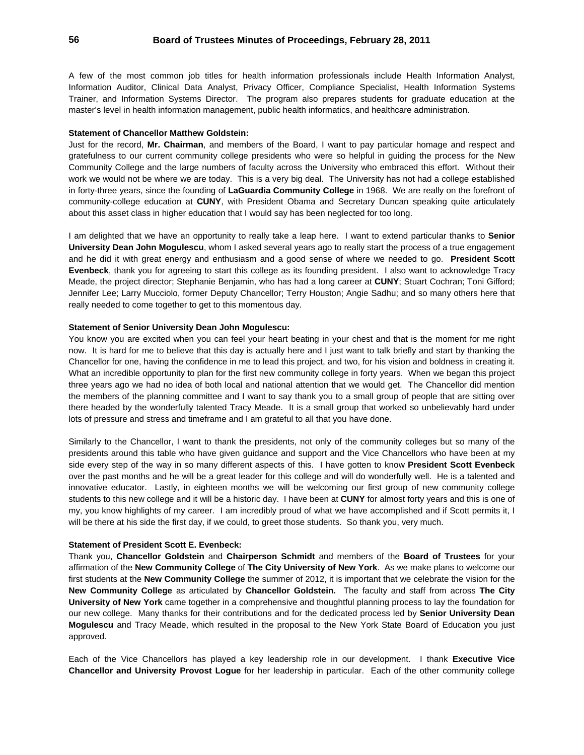Trainer, and Information Systems Director. The program also prepares students for graduate education at the A few of the most common job titles for health information professionals include Health Information Analyst, Information Auditor, Clinical Data Analyst, Privacy Officer, Compliance Specialist, Health Information Systems master's level in health information management, public health informatics, and healthcare administration.

#### **Statement of Chancellor Matthew Goldstein:**

about this asset class in higher education that I would say has been neglected for too long. Just for the record, **Mr. Chairman**, and members of the Board, I want to pay particular homage and respect and gratefulness to our current community college presidents who were so helpful in guiding the process for the New Community College and the large numbers of faculty across the University who embraced this effort. Without their work we would not be where we are today. This is a very big deal. The University has not had a college established in forty-three years, since the founding of **LaGuardia Community College** in 1968. We are really on the forefront of community-college education at **CUNY**, with President Obama and Secretary Duncan speaking quite articulately

I am delighted that we have an opportunity to really take a leap here. I want to extend particular thanks to **Senior University Dean John Mogulescu**, whom I asked several years ago to really start the process of a true engagement and he did it with great energy and enthusiasm and a good sense of where we needed to go. **President Scott Evenbeck**, thank you for agreeing to start this college as its founding president. I also want to acknowledge Tracy Meade, the project director; Stephanie Benjamin, who has had a long career at **CUNY**; Stuart Cochran; Toni Gifford; Jennifer Lee; Larry Mucciolo, former Deputy Chancellor; Terry Houston; Angie Sadhu; and so many others here that really needed to come together to get to this momentous day.

#### **Statement of Senior University Dean John Mogulescu:**

 You know you are excited when you can feel your heart beating in your chest and that is the moment for me right the members of the planning committee and I want to say thank you to a small group of people that are sitting over now. It is hard for me to believe that this day is actually here and I just want to talk briefly and start by thanking the Chancellor for one, having the confidence in me to lead this project, and two, for his vision and boldness in creating it. What an incredible opportunity to plan for the first new community college in forty years. When we began this project three years ago we had no idea of both local and national attention that we would get. The Chancellor did mention there headed by the wonderfully talented Tracy Meade. It is a small group that worked so unbelievably hard under lots of pressure and stress and timeframe and I am grateful to all that you have done.

 Similarly to the Chancellor, I want to thank the presidents, not only of the community colleges but so many of the innovative educator. Lastly, in eighteen months we will be welcoming our first group of new community college presidents around this table who have given guidance and support and the Vice Chancellors who have been at my side every step of the way in so many different aspects of this. I have gotten to know **President Scott Evenbeck**  over the past months and he will be a great leader for this college and will do wonderfully well. He is a talented and students to this new college and it will be a historic day. I have been at **CUNY** for almost forty years and this is one of my, you know highlights of my career. I am incredibly proud of what we have accomplished and if Scott permits it, I will be there at his side the first day, if we could, to greet those students. So thank you, very much.

#### **Statement of President Scott E. Evenbeck:**

Thank you, **Chancellor Goldstein** and **Chairperson Schmidt** and members of the **Board of Trustees** for your affirmation of the **New Community College** of **The City University of New York**. As we make plans to welcome our first students at the **New Community College** the summer of 2012, it is important that we celebrate the vision for the **New Community College** as articulated by **Chancellor Goldstein.** The faculty and staff from across **The City University of New York** came together in a comprehensive and thoughtful planning process to lay the foundation for our new college. Many thanks for their contributions and for the dedicated process led by **Senior University Dean Mogulescu** and Tracy Meade, which resulted in the proposal to the New York State Board of Education you just approved.

Each of the Vice Chancellors has played a key leadership role in our development. I thank **Executive Vice Chancellor and University Provost Logue** for her leadership in particular. Each of the other community college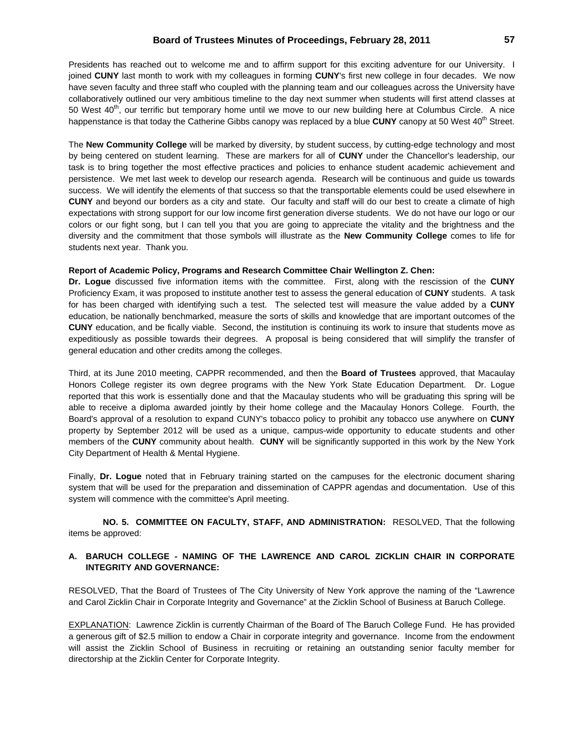I 50 West  $40^{th}$ , our terrific but temporary home until we move to our new building here at Columbus Circle. A nice joined CUNY last month to work with my colleagues in forming CUNY's first new college in four decades. We now have seven faculty and three staff who coupled with the planning team and our colleagues across the University have collaboratively outlined our very ambitious timeline to the day next summer when students will first attend classes at happenstance is that today the Catherine Gibbs canopy was replaced by a blue **CUNY** canopy at 50 West 40<sup>th</sup> Street.

The **New Community College** will be marked by diversity, by student success, by cutting-edge technology and most by being centered on student learning. These are markers for all of **CUNY** under the Chancellor's leadership, our task is to bring together the most effective practices and policies to enhance student academic achievement and persistence. We met last week to develop our research agenda. Research will be continuous and guide us towards success. We will identify the elements of that success so that the transportable elements could be used elsewhere in **CUNY** and beyond our borders as a city and state. Our faculty and staff will do our best to create a climate of high expectations with strong support for our low income first generation diverse students. We do not have our logo or our colors or our fight song, but I can tell you that you are going to appreciate the vitality and the brightness and the diversity and the commitment that those symbols will illustrate as the **New Community College** comes to life for students next year. Thank you.

#### **Report of Academic Policy, Programs and Research Committee Chair Wellington Z. Chen:**

**Dr. Logue** discussed five information items with the committee. First, along with the rescission of the **CUNY**  Proficiency Exam, it was proposed to institute another test to assess the general education of **CUNY** students. A task for has been charged with identifying such a test. The selected test will measure the value added by a **CUNY**  education, be nationally benchmarked, measure the sorts of skills and knowledge that are important outcomes of the **CUNY** education, and be fically viable. Second, the institution is continuing its work to insure that students move as expeditiously as possible towards their degrees. A proposal is being considered that will simplify the transfer of general education and other credits among the colleges.

 reported that this work is essentially done and that the Macaulay students who will be graduating this spring will be Third, at its June 2010 meeting, CAPPR recommended, and then the **Board of Trustees** approved, that Macaulay Honors College register its own degree programs with the New York State Education Department. Dr. Logue able to receive a diploma awarded jointly by their home college and the Macaulay Honors College. Fourth, the Board's approval of a resolution to expand CUNY's tobacco policy to prohibit any tobacco use anywhere on **CUNY**  property by September 2012 will be used as a unique, campus-wide opportunity to educate students and other members of the **CUNY** community about health. **CUNY** will be significantly supported in this work by the New York City Department of Health & Mental Hygiene.

Finally, **Dr. Logue** noted that in February training started on the campuses for the electronic document sharing system that will be used for the preparation and dissemination of CAPPR agendas and documentation. Use of this system will commence with the committee's April meeting.

**NO. 5. COMMITTEE ON FACULTY, STAFF, AND ADMINISTRATION:** RESOLVED, That the following items be approved:

# **A. BARUCH COLLEGE - NAMING OF THE LAWRENCE AND CAROL ZICKLIN CHAIR IN CORPORATE INTEGRITY AND GOVERNANCE:**

 RESOLVED, That the Board of Trustees of The City University of New York approve the naming of the "Lawrence and Carol Zicklin Chair in Corporate Integrity and Governance" at the Zicklin School of Business at Baruch College.

EXPLANATION: Lawrence Zicklin is currently Chairman of the Board of The Baruch College Fund. He has provided a generous gift of \$2.5 million to endow a Chair in corporate integrity and governance. Income from the endowment will assist the Zicklin School of Business in recruiting or retaining an outstanding senior faculty member for directorship at the Zicklin Center for Corporate Integrity.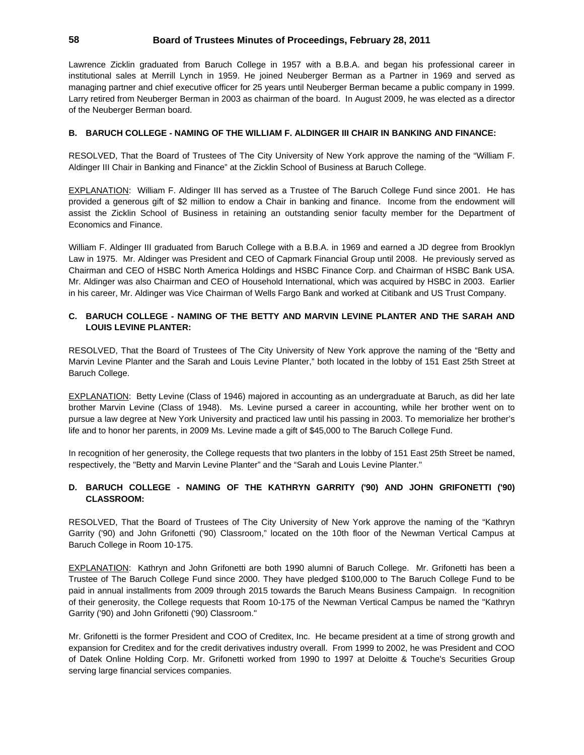Lawrence Zicklin graduated from Baruch College in 1957 with a B.B.A. and began his professional career in institutional sales at Merrill Lynch in 1959. He joined Neuberger Berman as a Partner in 1969 and served as managing partner and chief executive officer for 25 years until Neuberger Berman became a public company in 1999. Larry retired from Neuberger Berman in 2003 as chairman of the board. In August 2009, he was elected as a director of the Neuberger Berman board.

# **B. BARUCH COLLEGE - NAMING OF THE WILLIAM F. ALDINGER III CHAIR IN BANKING AND FINANCE:**

RESOLVED, That the Board of Trustees of The City University of New York approve the naming of the "William F. Aldinger III Chair in Banking and Finance" at the Zicklin School of Business at Baruch College.

 provided a generous gift of \$2 million to endow a Chair in banking and finance. Income from the endowment will EXPLANATION: William F. Aldinger III has served as a Trustee of The Baruch College Fund since 2001. He has assist the Zicklin School of Business in retaining an outstanding senior faculty member for the Department of Economics and Finance.

Chairman and CEO of HSBC North America Holdings and HSBC Finance Corp. and Chairman of HSBC Bank USA. William F. Aldinger III graduated from Baruch College with a B.B.A. in 1969 and earned a JD degree from Brooklyn Law in 1975. Mr. Aldinger was President and CEO of Capmark Financial Group until 2008. He previously served as Mr. Aldinger was also Chairman and CEO of Household International, which was acquired by HSBC in 2003. Earlier in his career, Mr. Aldinger was Vice Chairman of Wells Fargo Bank and worked at Citibank and US Trust Company.

# **C. BARUCH COLLEGE - NAMING OF THE BETTY AND MARVIN LEVINE PLANTER AND THE SARAH AND LOUIS LEVINE PLANTER:**

 Marvin Levine Planter and the Sarah and Louis Levine Planter," both located in the lobby of 151 East 25th Street at RESOLVED, That the Board of Trustees of The City University of New York approve the naming of the "Betty and Baruch College.

EXPLANATION: Betty Levine (Class of 1946) majored in accounting as an undergraduate at Baruch, as did her late brother Marvin Levine (Class of 1948). Ms. Levine pursed a career in accounting, while her brother went on to pursue a law degree at New York University and practiced law until his passing in 2003. To memorialize her brother's life and to honor her parents, in 2009 Ms. Levine made a gift of \$45,000 to The Baruch College Fund.

In recognition of her generosity, the College requests that two planters in the lobby of 151 East 25th Street be named, respectively, the "Betty and Marvin Levine Planter" and the "Sarah and Louis Levine Planter."

# **D. BARUCH COLLEGE - NAMING OF THE KATHRYN GARRITY ('90) AND JOHN GRIFONETTI ('90) CLASSROOM:**

RESOLVED, That the Board of Trustees of The City University of New York approve the naming of the "Kathryn Garrity ('90) and John Grifonetti ('90) Classroom," located on the 10th floor of the Newman Vertical Campus at Baruch College in Room 10-175.

EXPLANATION: Kathryn and John Grifonetti are both 1990 alumni of Baruch College. Mr. Grifonetti has been a Trustee of The Baruch College Fund since 2000. They have pledged \$100,000 to The Baruch College Fund to be paid in annual installments from 2009 through 2015 towards the Baruch Means Business Campaign. In recognition of their generosity, the College requests that Room 10-175 of the Newman Vertical Campus be named the "Kathryn Garrity ('90) and John Grifonetti ('90) Classroom."

Mr. Grifonetti is the former President and COO of Creditex, Inc. He became president at a time of strong growth and expansion for Creditex and for the credit derivatives industry overall. From 1999 to 2002, he was President and COO of Datek Online Holding Corp. Mr. Grifonetti worked from 1990 to 1997 at Deloitte & Touche's Securities Group serving large financial services companies.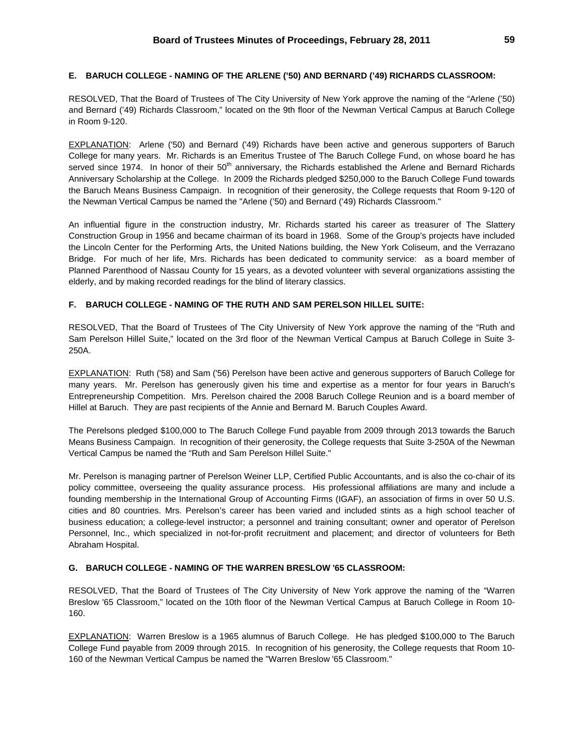## **E. BARUCH COLLEGE - NAMING OF THE ARLENE ('50) AND BERNARD ('49) RICHARDS CLASSROOM:**

RESOLVED, That the Board of Trustees of The City University of New York approve the naming of the "Arlene ('50) and Bernard ('49) Richards Classroom," located on the 9th floor of the Newman Vertical Campus at Baruch College in Room 9-120.

EXPLANATION: Arlene ('50) and Bernard ('49) Richards have been active and generous supporters of Baruch College for many years. Mr. Richards is an Emeritus Trustee of The Baruch College Fund, on whose board he has served since 1974. In honor of their 50<sup>th</sup> anniversary, the Richards established the Arlene and Bernard Richards Anniversary Scholarship at the College. In 2009 the Richards pledged \$250,000 to the Baruch College Fund towards the Baruch Means Business Campaign. In recognition of their generosity, the College requests that Room 9-120 of the Newman Vertical Campus be named the "Arlene ('50) and Bernard ('49) Richards Classroom."

An influential figure in the construction industry, Mr. Richards started his career as treasurer of The Slattery Construction Group in 1956 and became chairman of its board in 1968. Some of the Group's projects have included the Lincoln Center for the Performing Arts, the United Nations building, the New York Coliseum, and the Verrazano Bridge. For much of her life, Mrs. Richards has been dedicated to community service: as a board member of Planned Parenthood of Nassau County for 15 years, as a devoted volunteer with several organizations assisting the elderly, and by making recorded readings for the blind of literary classics.

# **F. BARUCH COLLEGE - NAMING OF THE RUTH AND SAM PERELSON HILLEL SUITE:**

RESOLVED, That the Board of Trustees of The City University of New York approve the naming of the "Ruth and Sam Perelson Hillel Suite," located on the 3rd floor of the Newman Vertical Campus at Baruch College in Suite 3- 250A.

EXPLANATION: Ruth ('58) and Sam ('56) Perelson have been active and generous supporters of Baruch College for many years. Mr. Perelson has generously given his time and expertise as a mentor for four years in Baruch's Entrepreneurship Competition. Mrs. Perelson chaired the 2008 Baruch College Reunion and is a board member of Hillel at Baruch. They are past recipients of the Annie and Bernard M. Baruch Couples Award.

The Perelsons pledged \$100,000 to The Baruch College Fund payable from 2009 through 2013 towards the Baruch Means Business Campaign. In recognition of their generosity, the College requests that Suite 3-250A of the Newman Vertical Campus be named the "Ruth and Sam Perelson Hillel Suite."

Mr. Perelson is managing partner of Perelson Weiner LLP, Certified Public Accountants, and is also the co-chair of its policy committee, overseeing the quality assurance process. His professional affiliations are many and include a founding membership in the International Group of Accounting Firms (IGAF), an association of firms in over 50 U.S. cities and 80 countries. Mrs. Perelson's career has been varied and included stints as a high school teacher of business education; a college-level instructor; a personnel and training consultant; owner and operator of Perelson Personnel, Inc., which specialized in not-for-profit recruitment and placement; and director of volunteers for Beth Abraham Hospital.

### **G. BARUCH COLLEGE - NAMING OF THE WARREN BRESLOW '65 CLASSROOM:**

 RESOLVED, That the Board of Trustees of The City University of New York approve the naming of the "Warren Breslow '65 Classroom," located on the 10th floor of the Newman Vertical Campus at Baruch College in Room 10- 160.

EXPLANATION: Warren Breslow is a 1965 alumnus of Baruch College. He has pledged \$100,000 to The Baruch College Fund payable from 2009 through 2015. In recognition of his generosity, the College requests that Room 10- 160 of the Newman Vertical Campus be named the "Warren Breslow '65 Classroom."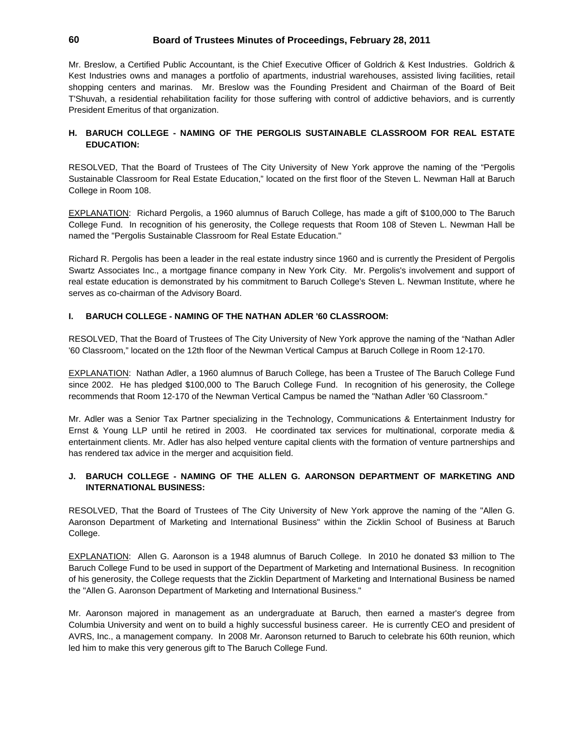Mr. Breslow, a Certified Public Accountant, is the Chief Executive Officer of Goldrich & Kest Industries. Goldrich & Kest Industries owns and manages a portfolio of apartments, industrial warehouses, assisted living facilities, retail shopping centers and marinas. Mr. Breslow was the Founding President and Chairman of the Board of Beit T'Shuvah, a residential rehabilitation facility for those suffering with control of addictive behaviors, and is currently President Emeritus of that organization.

# **H. BARUCH COLLEGE - NAMING OF THE PERGOLIS SUSTAINABLE CLASSROOM FOR REAL ESTATE EDUCATION:**

RESOLVED, That the Board of Trustees of The City University of New York approve the naming of the "Pergolis Sustainable Classroom for Real Estate Education," located on the first floor of the Steven L. Newman Hall at Baruch College in Room 108.

EXPLANATION: Richard Pergolis, a 1960 alumnus of Baruch College, has made a gift of \$100,000 to The Baruch College Fund. In recognition of his generosity, the College requests that Room 108 of Steven L. Newman Hall be named the "Pergolis Sustainable Classroom for Real Estate Education."

 Swartz Associates Inc., a mortgage finance company in New York City. Mr. Pergolis's involvement and support of Richard R. Pergolis has been a leader in the real estate industry since 1960 and is currently the President of Pergolis real estate education is demonstrated by his commitment to Baruch College's Steven L. Newman Institute, where he serves as co-chairman of the Advisory Board.

# **I. BARUCH COLLEGE - NAMING OF THE NATHAN ADLER '60 CLASSROOM:**

RESOLVED, That the Board of Trustees of The City University of New York approve the naming of the "Nathan Adler '60 Classroom," located on the 12th floor of the Newman Vertical Campus at Baruch College in Room 12-170.

EXPLANATION: Nathan Adler, a 1960 alumnus of Baruch College, has been a Trustee of The Baruch College Fund since 2002. He has pledged \$100,000 to The Baruch College Fund. In recognition of his generosity, the College recommends that Room 12-170 of the Newman Vertical Campus be named the "Nathan Adler '60 Classroom."

Mr. Adler was a Senior Tax Partner specializing in the Technology, Communications & Entertainment Industry for Ernst & Young LLP until he retired in 2003. He coordinated tax services for multinational, corporate media & entertainment clients. Mr. Adler has also helped venture capital clients with the formation of venture partnerships and has rendered tax advice in the merger and acquisition field.

# **J. BARUCH COLLEGE - NAMING OF THE ALLEN G. AARONSON DEPARTMENT OF MARKETING AND INTERNATIONAL BUSINESS:**

RESOLVED, That the Board of Trustees of The City University of New York approve the naming of the "Allen G. Aaronson Department of Marketing and International Business" within the Zicklin School of Business at Baruch College.

EXPLANATION: Allen G. Aaronson is a 1948 alumnus of Baruch College. In 2010 he donated \$3 million to The Baruch College Fund to be used in support of the Department of Marketing and International Business. In recognition of his generosity, the College requests that the Zicklin Department of Marketing and International Business be named the "Allen G. Aaronson Department of Marketing and International Business."

Mr. Aaronson majored in management as an undergraduate at Baruch, then earned a master's degree from Columbia University and went on to build a highly successful business career. He is currently CEO and president of AVRS, Inc., a management company. In 2008 Mr. Aaronson returned to Baruch to celebrate his 60th reunion, which led him to make this very generous gift to The Baruch College Fund.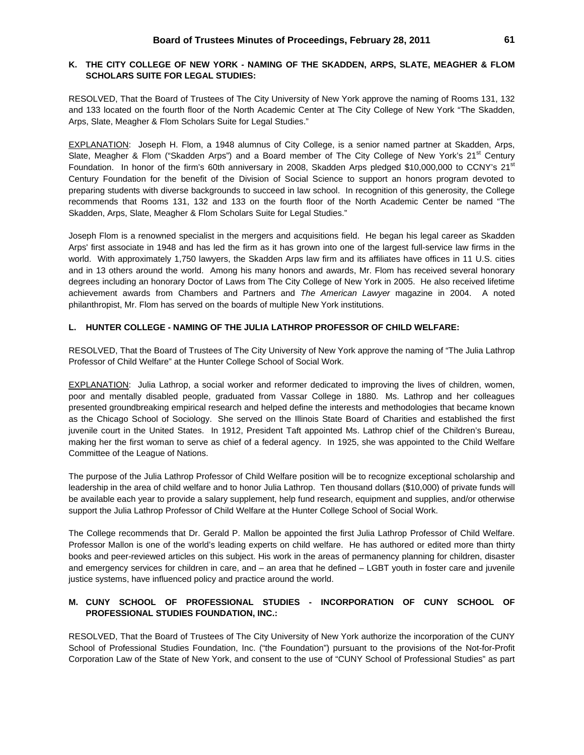# **K. THE CITY COLLEGE OF NEW YORK - NAMING OF THE SKADDEN, ARPS, SLATE, MEAGHER & FLOM SCHOLARS SUITE FOR LEGAL STUDIES:**

RESOLVED, That the Board of Trustees of The City University of New York approve the naming of Rooms 131, 132 and 133 located on the fourth floor of the North Academic Center at The City College of New York "The Skadden, Arps, Slate, Meagher & Flom Scholars Suite for Legal Studies."

EXPLANATION: Joseph H. Flom, a 1948 alumnus of City College, is a senior named partner at Skadden, Arps, Slate, Meagher & Flom ("Skadden Arps") and a Board member of The City College of New York's 21<sup>st</sup> Century Foundation. In honor of the firm's 60th anniversary in 2008, Skadden Arps pledged \$10,000,000 to CCNY's 21<sup>st</sup> Century Foundation for the benefit of the Division of Social Science to support an honors program devoted to preparing students with diverse backgrounds to succeed in law school. In recognition of this generosity, the College recommends that Rooms 131, 132 and 133 on the fourth floor of the North Academic Center be named "The Skadden, Arps, Slate, Meagher & Flom Scholars Suite for Legal Studies."

 degrees including an honorary Doctor of Laws from The City College of New York in 2005. He also received lifetime Joseph Flom is a renowned specialist in the mergers and acquisitions field. He began his legal career as Skadden Arps' first associate in 1948 and has led the firm as it has grown into one of the largest full-service law firms in the world. With approximately 1,750 lawyers, the Skadden Arps law firm and its affiliates have offices in 11 U.S. cities and in 13 others around the world. Among his many honors and awards, Mr. Flom has received several honorary achievement awards from Chambers and Partners and *The American Lawyer* magazine in 2004. A noted philanthropist, Mr. Flom has served on the boards of multiple New York institutions.

# **L. HUNTER COLLEGE - NAMING OF THE JULIA LATHROP PROFESSOR OF CHILD WELFARE:**

RESOLVED, That the Board of Trustees of The City University of New York approve the naming of "The Julia Lathrop Professor of Child Welfare" at the Hunter College School of Social Work.

 poor and mentally disabled people, graduated from Vassar College in 1880. Ms. Lathrop and her colleagues EXPLANATION: Julia Lathrop, a social worker and reformer dedicated to improving the lives of children, women, presented groundbreaking empirical research and helped define the interests and methodologies that became known as the Chicago School of Sociology. She served on the Illinois State Board of Charities and established the first juvenile court in the United States. In 1912, President Taft appointed Ms. Lathrop chief of the Children's Bureau, making her the first woman to serve as chief of a federal agency. In 1925, she was appointed to the Child Welfare Committee of the League of Nations.

 The purpose of the Julia Lathrop Professor of Child Welfare position will be to recognize exceptional scholarship and leadership in the area of child welfare and to honor Julia Lathrop. Ten thousand dollars (\$10,000) of private funds will be available each year to provide a salary supplement, help fund research, equipment and supplies, and/or otherwise support the Julia Lathrop Professor of Child Welfare at the Hunter College School of Social Work.

The College recommends that Dr. Gerald P. Mallon be appointed the first Julia Lathrop Professor of Child Welfare. Professor Mallon is one of the world's leading experts on child welfare. He has authored or edited more than thirty books and peer-reviewed articles on this subject. His work in the areas of permanency planning for children, disaster and emergency services for children in care, and – an area that he defined – LGBT youth in foster care and juvenile justice systems, have influenced policy and practice around the world.

# **M. CUNY SCHOOL OF PROFESSIONAL STUDIES - INCORPORATION OF CUNY SCHOOL OF PROFESSIONAL STUDIES FOUNDATION, INC.:**

RESOLVED, That the Board of Trustees of The City University of New York authorize the incorporation of the CUNY School of Professional Studies Foundation, Inc. ("the Foundation") pursuant to the provisions of the Not-for-Profit Corporation Law of the State of New York, and consent to the use of "CUNY School of Professional Studies" as part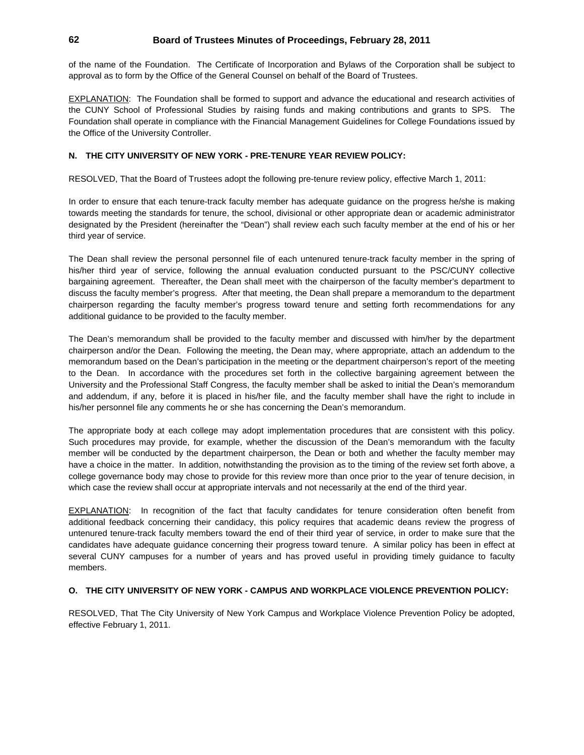of the name of the Foundation. The Certificate of Incorporation and Bylaws of the Corporation shall be subject to approval as to form by the Office of the General Counsel on behalf of the Board of Trustees.

EXPLANATION: The Foundation shall be formed to support and advance the educational and research activities of the CUNY School of Professional Studies by raising funds and making contributions and grants to SPS. The Foundation shall operate in compliance with the Financial Management Guidelines for College Foundations issued by the Office of the University Controller.

# **N. THE CITY UNIVERSITY OF NEW YORK - PRE-TENURE YEAR REVIEW POLICY:**

RESOLVED, That the Board of Trustees adopt the following pre-tenure review policy, effective March 1, 2011:

In order to ensure that each tenure-track faculty member has adequate guidance on the progress he/she is making towards meeting the standards for tenure, the school, divisional or other appropriate dean or academic administrator designated by the President (hereinafter the "Dean") shall review each such faculty member at the end of his or her third year of service.

The Dean shall review the personal personnel file of each untenured tenure-track faculty member in the spring of his/her third year of service, following the annual evaluation conducted pursuant to the PSC/CUNY collective bargaining agreement. Thereafter, the Dean shall meet with the chairperson of the faculty member's department to discuss the faculty member's progress. After that meeting, the Dean shall prepare a memorandum to the department chairperson regarding the faculty member's progress toward tenure and setting forth recommendations for any additional guidance to be provided to the faculty member.

The Dean's memorandum shall be provided to the faculty member and discussed with him/her by the department chairperson and/or the Dean. Following the meeting, the Dean may, where appropriate, attach an addendum to the memorandum based on the Dean's participation in the meeting or the department chairperson's report of the meeting to the Dean. In accordance with the procedures set forth in the collective bargaining agreement between the University and the Professional Staff Congress, the faculty member shall be asked to initial the Dean's memorandum and addendum, if any, before it is placed in his/her file, and the faculty member shall have the right to include in his/her personnel file any comments he or she has concerning the Dean's memorandum.

The appropriate body at each college may adopt implementation procedures that are consistent with this policy. have a choice in the matter. In addition, notwithstanding the provision as to the timing of the review set forth above, a Such procedures may provide, for example, whether the discussion of the Dean's memorandum with the faculty member will be conducted by the department chairperson, the Dean or both and whether the faculty member may college governance body may chose to provide for this review more than once prior to the year of tenure decision, in which case the review shall occur at appropriate intervals and not necessarily at the end of the third year.

EXPLANATION: In recognition of the fact that faculty candidates for tenure consideration often benefit from additional feedback concerning their candidacy, this policy requires that academic deans review the progress of untenured tenure-track faculty members toward the end of their third year of service, in order to make sure that the candidates have adequate guidance concerning their progress toward tenure. A similar policy has been in effect at several CUNY campuses for a number of years and has proved useful in providing timely guidance to faculty members.

### **O. THE CITY UNIVERSITY OF NEW YORK - CAMPUS AND WORKPLACE VIOLENCE PREVENTION POLICY:**

 RESOLVED, That The City University of New York Campus and Workplace Violence Prevention Policy be adopted, effective February 1, 2011.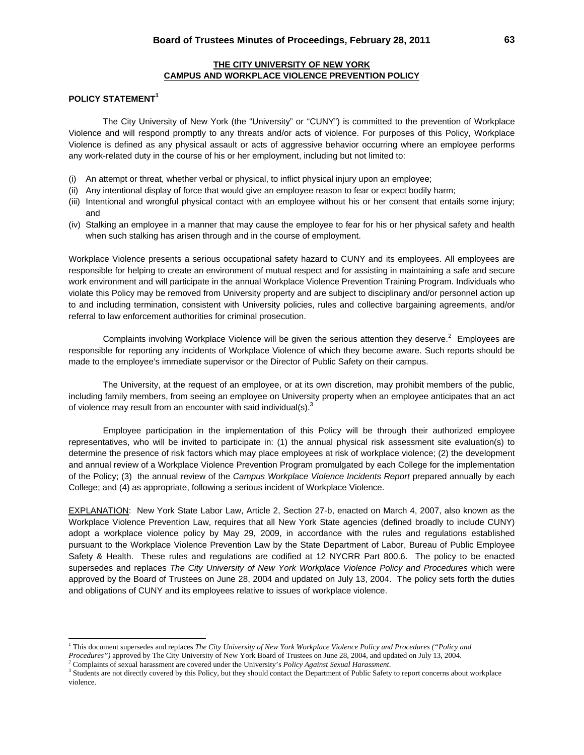# **THE CITY UNIVERSITY OF NEW YORK CAMPUS AND WORKPLACE VIOLENCE PREVENTION POLICY**

#### **POLICY STATEMENT<sup>1</sup>**

l

The City University of New York (the "University" or "CUNY") is committed to the prevention of Workplace Violence and will respond promptly to any threats and/or acts of violence. For purposes of this Policy, Workplace Violence is defined as any physical assault or acts of aggressive behavior occurring where an employee performs any work-related duty in the course of his or her employment, including but not limited to:

- (i) An attempt or threat, whether verbal or physical, to inflict physical injury upon an employee;
- (ii) Any intentional display of force that would give an employee reason to fear or expect bodily harm;
- (iii) Intentional and wrongful physical contact with an employee without his or her consent that entails some injury; and
- (iv) Stalking an employee in a manner that may cause the employee to fear for his or her physical safety and health when such stalking has arisen through and in the course of employment.

Workplace Violence presents a serious occupational safety hazard to CUNY and its employees. All employees are responsible for helping to create an environment of mutual respect and for assisting in maintaining a safe and secure work environment and will participate in the annual Workplace Violence Prevention Training Program. Individuals who violate this Policy may be removed from University property and are subject to disciplinary and/or personnel action up to and including termination, consistent with University policies, rules and collective bargaining agreements, and/or referral to law enforcement authorities for criminal prosecution.

Complaints involving Workplace Violence will be given the serious attention they deserve.<sup>2</sup> Employees are responsible for reporting any incidents of Workplace Violence of which they become aware. Such reports should be made to the employee's immediate supervisor or the Director of Public Safety on their campus.

The University, at the request of an employee, or at its own discretion, may prohibit members of the public, including family members, from seeing an employee on University property when an employee anticipates that an act of violence may result from an encounter with said individual(s). $3$ 

Employee participation in the implementation of this Policy will be through their authorized employee representatives, who will be invited to participate in: (1) the annual physical risk assessment site evaluation(s) to determine the presence of risk factors which may place employees at risk of workplace violence; (2) the development and annual review of a Workplace Violence Prevention Program promulgated by each College for the implementation of the Policy; (3) the annual review of the *Campus Workplace Violence Incidents Report* prepared annually by each College; and (4) as appropriate, following a serious incident of Workplace Violence.

 adopt a workplace violence policy by May 29, 2009, in accordance with the rules and regulations established Safety & Health. These rules and regulations are codified at 12 NYCRR Part 800.6. The policy to be enacted EXPLANATION: New York State Labor Law, Article 2, Section 27-b, enacted on March 4, 2007, also known as the Workplace Violence Prevention Law, requires that all New York State agencies (defined broadly to include CUNY) pursuant to the Workplace Violence Prevention Law by the State Department of Labor, Bureau of Public Employee supersedes and replaces *The City University of New York Workplace Violence Policy and Procedures* which were approved by the Board of Trustees on June 28, 2004 and updated on July 13, 2004. The policy sets forth the duties and obligations of CUNY and its employees relative to issues of workplace violence.

*Procedures"*) approved by The City University of New York Board of Trustees on June 28, 2004, and updated on July 13, 2004.<br><sup>2</sup> Complaints of sound becase montage assessed updat the University's *Policy Agginst Saxyal Han* <sup>1</sup> This document supersedes and replaces *The City University of New York Workplace Violence Policy and Procedures ("Policy and* 

Complaints of sexual harassment are covered under the University's *Policy Against Sexual Harassment*. 3

<sup>&</sup>lt;sup>3</sup> Students are not directly covered by this Policy, but they should contact the Department of Public Safety to report concerns about workplace violence.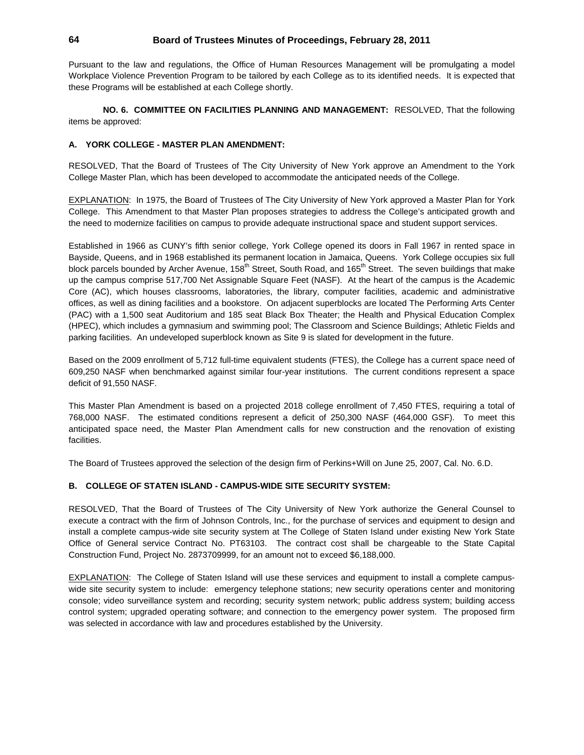Pursuant to the law and regulations, the Office of Human Resources Management will be promulgating a model Workplace Violence Prevention Program to be tailored by each College as to its identified needs. It is expected that these Programs will be established at each College shortly.

**NO. 6. COMMITTEE ON FACILITIES PLANNING AND MANAGEMENT:** RESOLVED, That the following items be approved:

# **A. YORK COLLEGE - MASTER PLAN AMENDMENT:**

 RESOLVED, That the Board of Trustees of The City University of New York approve an Amendment to the York College Master Plan, which has been developed to accommodate the anticipated needs of the College.

EXPLANATION: In 1975, the Board of Trustees of The City University of New York approved a Master Plan for York College. This Amendment to that Master Plan proposes strategies to address the College's anticipated growth and the need to modernize facilities on campus to provide adequate instructional space and student support services.

Established in 1966 as CUNY's fifth senior college, York College opened its doors in Fall 1967 in rented space in Bayside, Queens, and in 1968 established its permanent location in Jamaica, Queens. York College occupies six full block parcels bounded by Archer Avenue, 158<sup>th</sup> Street, South Road, and 165<sup>th</sup> Street. The seven buildings that make up the campus comprise 517,700 Net Assignable Square Feet (NASF). At the heart of the campus is the Academic Core (AC), which houses classrooms, laboratories, the library, computer facilities, academic and administrative offices, as well as dining facilities and a bookstore. On adjacent superblocks are located The Performing Arts Center (PAC) with a 1,500 seat Auditorium and 185 seat Black Box Theater; the Health and Physical Education Complex (HPEC), which includes a gymnasium and swimming pool; The Classroom and Science Buildings; Athletic Fields and parking facilities. An undeveloped superblock known as Site 9 is slated for development in the future.

Based on the 2009 enrollment of 5,712 full-time equivalent students (FTES), the College has a current space need of 609,250 NASF when benchmarked against similar four-year institutions. The current conditions represent a space deficit of 91,550 NASF.

This Master Plan Amendment is based on a projected 2018 college enrollment of 7,450 FTES, requiring a total of 768,000 NASF. The estimated conditions represent a deficit of 250,300 NASF (464,000 GSF). To meet this anticipated space need, the Master Plan Amendment calls for new construction and the renovation of existing facilities.

The Board of Trustees approved the selection of the design firm of Perkins+Will on June 25, 2007, Cal. No. 6.D.

### **B. COLLEGE OF STATEN ISLAND - CAMPUS-WIDE SITE SECURITY SYSTEM:**

 install a complete campus-wide site security system at The College of Staten Island under existing New York State RESOLVED, That the Board of Trustees of The City University of New York authorize the General Counsel to execute a contract with the firm of Johnson Controls, Inc., for the purchase of services and equipment to design and Office of General service Contract No. PT63103. The contract cost shall be chargeable to the State Capital Construction Fund, Project No. 2873709999, for an amount not to exceed \$6,188,000.

 wide site security system to include: emergency telephone stations; new security operations center and monitoring EXPLANATION: The College of Staten Island will use these services and equipment to install a complete campusconsole; video surveillance system and recording; security system network; public address system; building access control system; upgraded operating software; and connection to the emergency power system. The proposed firm was selected in accordance with law and procedures established by the University.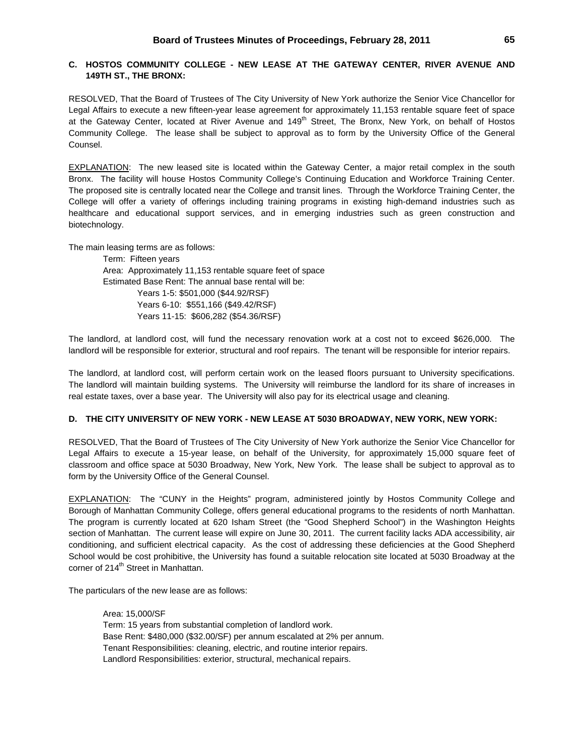# **C. HOSTOS COMMUNITY COLLEGE - NEW LEASE AT THE GATEWAY CENTER, RIVER AVENUE AND 149TH ST., THE BRONX:**

RESOLVED, That the Board of Trustees of The City University of New York authorize the Senior Vice Chancellor for Legal Affairs to execute a new fifteen-year lease agreement for approximately 11,153 rentable square feet of space at the Gateway Center, located at River Avenue and 149<sup>th</sup> Street, The Bronx, New York, on behalf of Hostos Community College. The lease shall be subject to approval as to form by the University Office of the General Counsel.

Bronx. The facility will house Hostos Community College's Continuing Education and Workforce Training Center. EXPLANATION: The new leased site is located within the Gateway Center, a major retail complex in the south The proposed site is centrally located near the College and transit lines. Through the Workforce Training Center, the College will offer a variety of offerings including training programs in existing high-demand industries such as healthcare and educational support services, and in emerging industries such as green construction and biotechnology.

The main leasing terms are as follows:

Term: Fifteen years Area: Approximately 11,153 rentable square feet of space Estimated Base Rent: The annual base rental will be: Years 1-5: \$501,000 (\$44.92/RSF) Years 6-10: \$551,166 (\$49.42/RSF) Years 11-15: \$606,282 (\$54.36/RSF)

The landlord, at landlord cost, will fund the necessary renovation work at a cost not to exceed \$626,000. The landlord will be responsible for exterior, structural and roof repairs. The tenant will be responsible for interior repairs.

The landlord, at landlord cost, will perform certain work on the leased floors pursuant to University specifications. The landlord will maintain building systems. The University will reimburse the landlord for its share of increases in real estate taxes, over a base year. The University will also pay for its electrical usage and cleaning.

# **D. THE CITY UNIVERSITY OF NEW YORK - NEW LEASE AT 5030 BROADWAY, NEW YORK, NEW YORK:**

 classroom and office space at 5030 Broadway, New York, New York. The lease shall be subject to approval as to RESOLVED, That the Board of Trustees of The City University of New York authorize the Senior Vice Chancellor for Legal Affairs to execute a 15-year lease, on behalf of the University, for approximately 15,000 square feet of form by the University Office of the General Counsel.

EXPLANATION: The "CUNY in the Heights" program, administered jointly by Hostos Community College and Borough of Manhattan Community College, offers general educational programs to the residents of north Manhattan. The program is currently located at 620 Isham Street (the "Good Shepherd School") in the Washington Heights section of Manhattan. The current lease will expire on June 30, 2011. The current facility lacks ADA accessibility, air conditioning, and sufficient electrical capacity. As the cost of addressing these deficiencies at the Good Shepherd School would be cost prohibitive, the University has found a suitable relocation site located at 5030 Broadway at the corner of 214<sup>th</sup> Street in Manhattan.

The particulars of the new lease are as follows:

 Area: 15,000/SF Term: 15 years from substantial completion of landlord work. Base Rent: \$480,000 (\$32.00/SF) per annum escalated at 2% per annum. Tenant Responsibilities: cleaning, electric, and routine interior repairs. Landlord Responsibilities: exterior, structural, mechanical repairs.